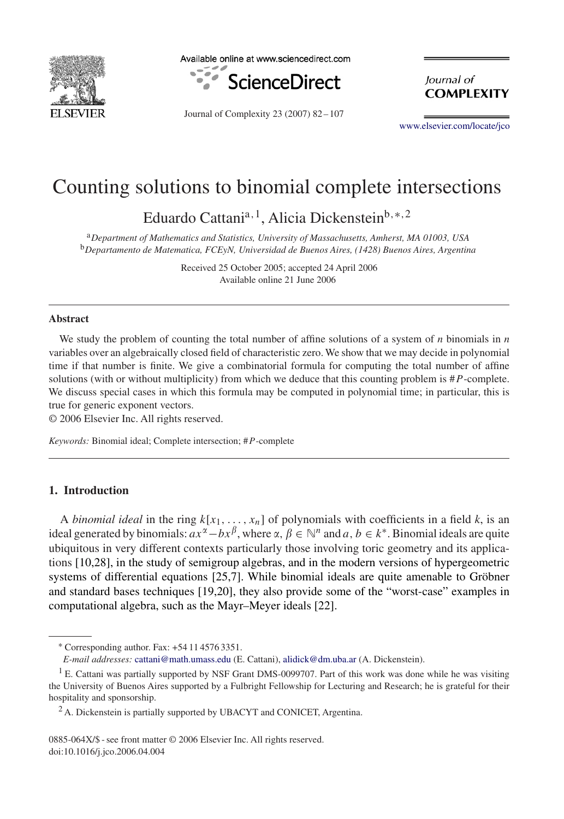

Available online at www.sciencedirect.com



Journal of Complexity 23 (2007) 82 – 107

lournal of **COMPLEXITY** 

[www.elsevier.com/locate/jco](http://www.elsevier.com/locate/jco)

# Counting solutions to binomial complete intersections

Eduardo Cattania*,*1, Alicia Dickensteinb*,*∗*,*<sup>2</sup>

<sup>a</sup>*Department of Mathematics and Statistics, University of Massachusetts, Amherst, MA 01003, USA* <sup>b</sup>*Departamento de Matematica, FCEyN, Universidad de Buenos Aires, (1428) Buenos Aires, Argentina*

> Received 25 October 2005; accepted 24 April 2006 Available online 21 June 2006

#### **Abstract**

We study the problem of counting the total number of affine solutions of a system of *n* binomials in *n* variables over an algebraically closed field of characteristic zero. We show that we may decide in polynomial time if that number is finite. We give a combinatorial formula for computing the total number of affine solutions (with or without multiplicity) from which we deduce that this counting problem is #*P*-complete. We discuss special cases in which this formula may be computed in polynomial time; in particular, this is true for generic exponent vectors.

© 2006 Elsevier Inc. All rights reserved.

*Keywords:* Binomial ideal; Complete intersection; #*P*-complete

# **1. Introduction**

A *binomial ideal* in the ring  $k[x_1, \ldots, x_n]$  of polynomials with coefficients in a field *k*, is an ideal generated by binomials:  $ax^{\alpha} - bx^{\beta}$ , where  $\alpha, \beta \in \mathbb{N}^n$  and  $a, b \in k^*$ . Binomial ideals are quite ubiquitous in very different contexts particularly those involving toric geometry and its applications [\[10](#page-24-0)[,28\],](#page-25-0) in the study of semigroup algebras, and in the modern versions of hypergeometric systems of differential equations [\[25,7\].](#page-24-0) While binomial ideals are quite amenable to Gröbner and standard bases techniques [\[19,20\],](#page-24-0) they also provide some of the "worst-case" examples in computational algebra, such as the Mayr–Meyer ideals [22].

<sup>∗</sup> Corresponding author. Fax: +54 11 4576 3351.

*E-mail addresses:* [cattani@math.umass.edu](mailto:cattani@math.umass.edu) (E. Cattani), [alidick@dm.uba.ar](mailto:alidick@dm.uba.ar) (A. Dickenstein).

 $1$  E. Cattani was partially supported by NSF Grant DMS-0099707. Part of this work was done while he was visiting the University of Buenos Aires supported by a Fulbright Fellowship for Lecturing and Research; he is grateful for their hospitality and sponsorship.

 $^{2}$  A. Dickenstein is partially supported by UBACYT and CONICET, Argentina.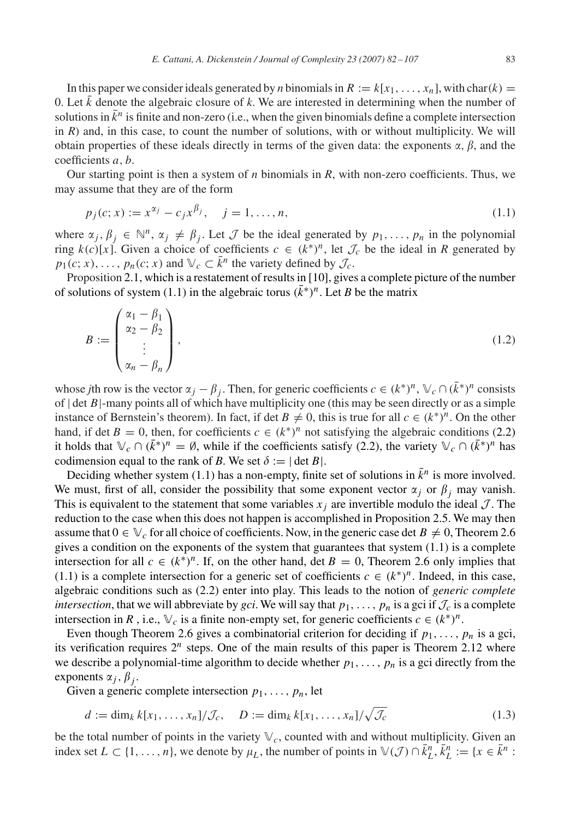<span id="page-1-0"></span>In this paper we consider ideals generated by *n* binomials in  $R := k[x_1, \ldots, x_n]$ , with char $(k) =$ 0. Let  $k$  denote the algebraic closure of  $k$ . We are interested in determining when the number of solutions in  $\bar{k}^n$  is finite and non-zero (i.e., when the given binomials define a complete intersection in  $R$ ) and, in this case, to count the number of solutions, with or without multiplicity. We will obtain properties of these ideals directly in terms of the given data: the exponents  $\alpha$ ,  $\beta$ , and the coefficients *a, b*.

Our starting point is then a system of *n* binomials in *R*, with non-zero coefficients. Thus, we may assume that they are of the form

$$
p_j(c; x) := x^{\alpha_j} - c_j x^{\beta_j}, \quad j = 1, \dots, n,
$$
\n(1.1)

where  $\alpha_j, \beta_j \in \mathbb{N}^n$ ,  $\alpha_j \neq \beta_j$ . Let  $\mathcal J$  be the ideal generated by  $p_1, \ldots, p_n$  in the polynomial ring  $k(c)[x]$ . Given a choice of coefficients  $c \in (k^*)^n$ , let  $\mathcal{J}_c$  be the ideal in *R* generated by  $p_1(c; x), \ldots, p_n(c; x)$  and  $\mathbb{V}_c \subset \overline{k}$ <sup>n</sup> the variety defined by  $\mathcal{J}_c$ .

Proposition [2.1,](#page-3-0) which is a restatement of results in [\[10\],](#page-24-0) gives a complete picture of the number of solutions of system (1.1) in the algebraic torus  $(k<sup>*</sup>)<sup>n</sup>$ . Let *B* be the matrix

$$
B := \begin{pmatrix} \alpha_1 - \beta_1 \\ \alpha_2 - \beta_2 \\ \vdots \\ \alpha_n - \beta_n \end{pmatrix},
$$
\n(1.2)

whose *j*th row is the vector  $\alpha_j - \beta_j$ . Then, for generic coefficients  $c \in (k^*)^n$ ,  $\forall c \cap (\bar{k}^*)^n$  consists of | det *B*|-many points all of which have multiplicity one (this may be seen directly or as a simple instance of Bernstein's theorem). In fact, if det  $B \neq 0$ , this is true for all  $c \in (k^*)^n$ . On the other hand, if det  $B = 0$ , then, for coefficients  $c \in (k^*)^n$  not satisfying the algebraic conditions [\(2.2\)](#page-3-0) it holds that  $\mathbb{V}_c \cap (\bar{k}^*)^n = \emptyset$ , while if the coefficients satisfy [\(2.2\)](#page-3-0), the variety  $\mathbb{V}_c \cap (\bar{k}^*)^n$  has codimension equal to the rank of *B*. We set  $\delta := |\det B|$ .

Deciding whether system (1.1) has a non-empty, finite set of solutions in  $\bar{k}^n$  is more involved. We must, first of all, consider the possibility that some exponent vector  $\alpha_j$  or  $\beta_j$  may vanish. This is equivalent to the statement that some variables  $x_i$  are invertible modulo the ideal  $\mathcal{J}$ . The reduction to the case when this does not happen is accomplished in Proposition [2.5.](#page-5-0) We may then assume that  $0 \in V_c$  for all choice of coefficients. Now, in the generic case det  $B \neq 0$ , Theorem [2.6](#page-5-0) gives a condition on the exponents of the system that guarantees that system  $(1.1)$  is a complete intersection for all  $c \in (k^*)^n$ . If, on the other hand, det  $B = 0$ , Theorem [2.6](#page-5-0) only implies that (1.1) is a complete intersection for a generic set of coefficients  $c \in (k^*)^n$ . Indeed, in this case, algebraic conditions such as [\(2.2\)](#page-3-0) enter into play. This leads to the notion of *generic complete intersection*, that we will abbreviate by *gci*. We will say that  $p_1, \ldots, p_n$  is a gci if  $\mathcal{J}_c$  is a complete intersection in *R*, i.e.,  $\vee_c$  is a finite non-empty set, for generic coefficients  $c \in (k^*)^n$ .

Even though Theorem [2.6](#page-5-0) gives a combinatorial criterion for deciding if  $p_1, \ldots, p_n$  is a gci, its verification requires  $2^n$  steps. One of the main results of this paper is Theorem [2.12](#page-8-0) where we describe a polynomial-time algorithm to decide whether  $p_1, \ldots, p_n$  is a gci directly from the exponents  $\alpha_j$ ,  $\beta_j$ .

Given a generic complete intersection  $p_1, \ldots, p_n$ , let

$$
d := \dim_k k[x_1, \dots, x_n]/\mathcal{J}_c, \quad D := \dim_k k[x_1, \dots, x_n]/\sqrt{\mathcal{J}_c}
$$
\n(1.3)

be the total number of points in the variety  $\mathbb{V}_c$ , counted with and without multiplicity. Given an index set  $L \subset \{1, ..., n\}$ , we denote by  $\mu_L$ , the number of points in  $\mathbb{V}(\mathcal{J}) \cap \overline{k}_L^n, \overline{k}_L^n := \{x \in \overline{k}^n :$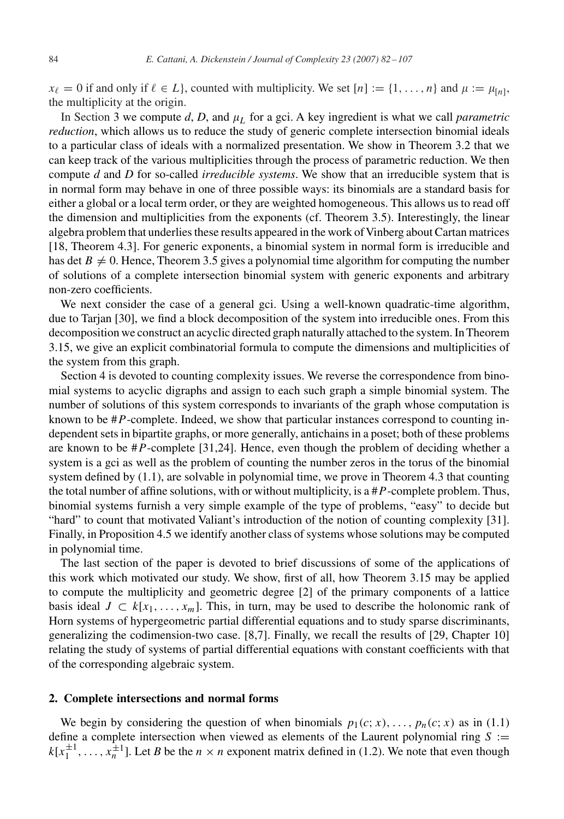$x_{\ell} = 0$  if and only if  $\ell \in L$ , counted with multiplicity. We set  $[n] := \{1, \ldots, n\}$  and  $\mu := \mu_{[n]},$ the multiplicity at the origin.

In Section [3](#page-9-0) we compute  $d$ ,  $D$ , and  $\mu$ <sub>L</sub> for a gci. A key ingredient is what we call *parametric reduction*, which allows us to reduce the study of generic complete intersection binomial ideals to a particular class of ideals with a normalized presentation. We show in Theorem [3.2](#page-10-0) that we can keep track of the various multiplicities through the process of parametric reduction. We then compute *d* and *D* for so-called *irreducible systems*. We show that an irreducible system that is in normal form may behave in one of three possible ways: its binomials are a standard basis for either a global or a local term order, or they are weighted homogeneous. This allows us to read off the dimension and multiplicities from the exponents (cf. Theorem [3.5\)](#page-12-0). Interestingly, the linear algebra problem that underlies these results appeared in the work ofVinberg about Cartan matrices [\[18, Theorem 4.3\].](#page-24-0) For generic exponents, a binomial system in normal form is irreducible and has det  $B \neq 0$ . Hence, Theorem [3.5](#page-12-0) gives a polynomial time algorithm for computing the number of solutions of a complete intersection binomial system with generic exponents and arbitrary non-zero coefficients.

We next consider the case of a general gci. Using a well-known quadratic-time algorithm, due to Tarjan [\[30\],](#page-25-0) we find a block decomposition of the system into irreducible ones. From this decomposition we construct an acyclic directed graph naturally attached to the system. In Theorem [3.15,](#page-17-0) we give an explicit combinatorial formula to compute the dimensions and multiplicities of the system from this graph.

Section [4](#page-19-0) is devoted to counting complexity issues. We reverse the correspondence from binomial systems to acyclic digraphs and assign to each such graph a simple binomial system. The number of solutions of this system corresponds to invariants of the graph whose computation is known to be #*P*-complete. Indeed, we show that particular instances correspond to counting independent sets in bipartite graphs, or more generally, antichains in a poset; both of these problems are known to be #*P*-complete [\[31](#page-25-0)[,24\].](#page-24-0) Hence, even though the problem of deciding whether a system is a gci as well as the problem of counting the number zeros in the torus of the binomial system defined by [\(1.1\)](#page-1-0), are solvable in polynomial time, we prove in Theorem [4.3](#page-20-0) that counting the total number of affine solutions, with or without multiplicity, is a #*P*-complete problem. Thus, binomial systems furnish a very simple example of the type of problems, "easy" to decide but "hard" to count that motivated Valiant's introduction of the notion of counting complexity [\[31\].](#page-25-0) Finally, in Proposition [4.5](#page-21-0) we identify another class of systems whose solutions may be computed in polynomial time.

The last section of the paper is devoted to brief discussions of some of the applications of this work which motivated our study. We show, first of all, how Theorem [3.15](#page-17-0) may be applied to compute the multiplicity and geometric degree [\[2\]](#page-24-0) of the primary components of a lattice basis ideal  $J \subset k[x_1, \ldots, x_m]$ . This, in turn, may be used to describe the holonomic rank of Horn systems of hypergeometric partial differential equations and to study sparse discriminants, generalizing the codimension-two case. [\[8,7\].](#page-24-0) Finally, we recall the results of [\[29, Chapter 10\]](#page-25-0) relating the study of systems of partial differential equations with constant coefficients with that of the corresponding algebraic system.

#### **2. Complete intersections and normal forms**

We begin by considering the question of when binomials  $p_1(c; x), \ldots, p_n(c; x)$  as in [\(1.1\)](#page-1-0) define a complete intersection when viewed as elements of the Laurent polynomial ring  $S :=$  $k[x_1^{\pm 1}, \ldots, x_n^{\pm 1}]$ . Let *B* be the  $n \times n$  exponent matrix defined in [\(1.2\)](#page-1-0). We note that even though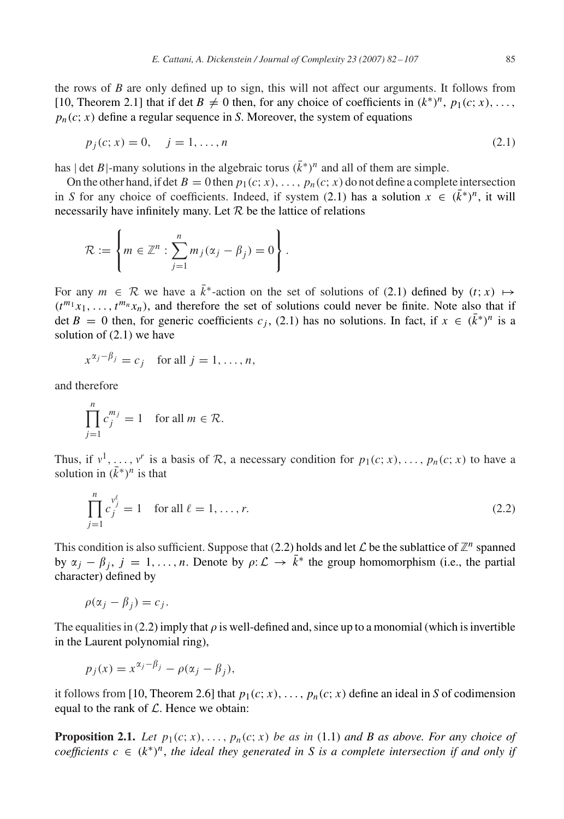<span id="page-3-0"></span>the rows of *B* are only defined up to sign, this will not affect our arguments. It follows from [\[10, Theorem 2.1\]](#page-24-0) that if det  $B \neq 0$  then, for any choice of coefficients in  $(k^*)^n$ ,  $p_1(c; x)$ , ...,  $p_n(c; x)$  define a regular sequence in *S*. Moreover, the system of equations

$$
p_j(c; x) = 0, \quad j = 1, \dots, n
$$
\n(2.1)

has | det *B*|-many solutions in the algebraic torus  $(k<sup>*</sup>)<sup>n</sup>$  and all of them are simple.

On the other hand, if det  $B = 0$  then  $p_1(c; x), \ldots, p_n(c; x)$  do not define a complete intersection in *S* for any choice of coefficients. Indeed, if system (2.1) has a solution  $x \in (k^*)^n$ , it will necessarily have infinitely many. Let  $R$  be the lattice of relations

$$
\mathcal{R} := \left\{ m \in \mathbb{Z}^n : \sum_{j=1}^n m_j (\alpha_j - \beta_j) = 0 \right\}.
$$

For any  $m \in \mathcal{R}$  we have a  $\overline{k}^*$ -action on the set of solutions of (2.1) defined by  $(t; x) \mapsto$  $(t^{m_1}x_1,\ldots,t^{m_n}x_n)$ , and therefore the set of solutions could never be finite. Note also that if det *B* = 0 then, for generic coefficients  $c_j$ , (2.1) has no solutions. In fact, if  $x \in (\bar{k}^*)^n$  is a solution of (2.1) we have

$$
x^{\alpha_j - \beta_j} = c_j \quad \text{for all } j = 1, \dots, n,
$$

and therefore

$$
\prod_{j=1}^{n} c_j^{m_j} = 1 \quad \text{for all } m \in \mathcal{R}.
$$

Thus, if  $v^1, \ldots, v^r$  is a basis of R, a necessary condition for  $p_1(c; x), \ldots, p_n(c; x)$  to have a solution in  $(\bar{k}^*)^n$  is that

$$
\prod_{j=1}^{n} c_j^{\nu_j^{\ell}} = 1 \quad \text{for all } \ell = 1, \dots, r.
$$
 (2.2)

This condition is also sufficient. Suppose that (2.2) holds and let  $\mathcal L$  be the sublattice of  $\mathbb Z^n$  spanned by  $\alpha_j - \beta_j$ ,  $j = 1, ..., n$ . Denote by  $\rho: \mathcal{L} \to \overline{k}^*$  the group homomorphism (i.e., the partial character) defined by

$$
\rho(\alpha_j - \beta_i) = c_j.
$$

The equalities in (2.2) imply that  $\rho$  is well-defined and, since up to a monomial (which is invertible in the Laurent polynomial ring),

$$
p_j(x) = x^{\alpha_j - \beta_j} - \rho(\alpha_j - \beta_j),
$$

it follows from [\[10, Theorem 2.6\]](#page-24-0) that  $p_1(c; x)$ , ...,  $p_n(c; x)$  define an ideal in *S* of codimension equal to the rank of  $\mathcal L$ . Hence we obtain:

**Proposition 2.1.** *Let*  $p_1(c; x), \ldots, p_n(c; x)$  *be as in* [\(1.1\)](#page-1-0) *and B as above. For any choice of coefficients*  $c \in (k^*)^n$ , the ideal they generated in S is a complete intersection if and only if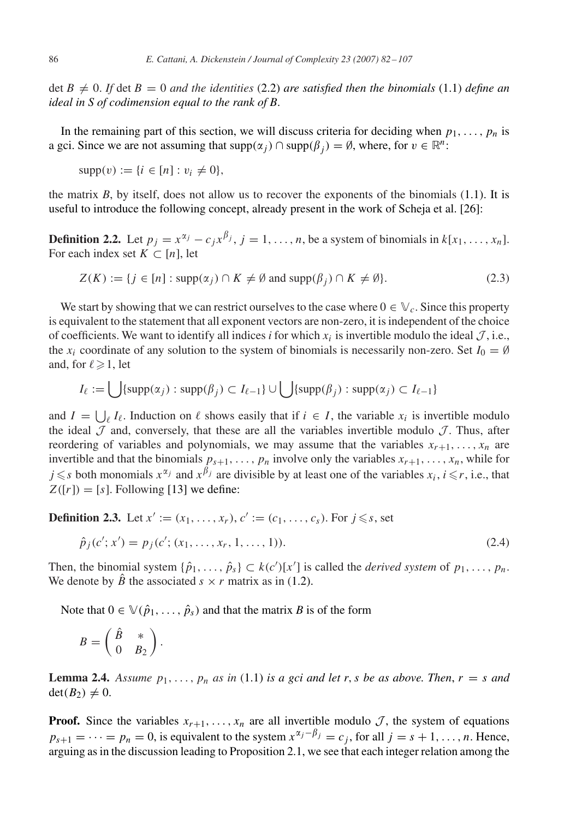<span id="page-4-0"></span>det  $B \neq 0$ . If det  $B = 0$  *and the identities* [\(2.2\)](#page-3-0) *are satisfied then the binomials* [\(1.1\)](#page-1-0) *define an ideal in S of codimension equal to the rank of B*.

In the remaining part of this section, we will discuss criteria for deciding when  $p_1, \ldots, p_n$  is a gci. Since we are not assuming that  $supp(\alpha_j) \cap supp(\beta_j) = \emptyset$ , where, for  $v \in \mathbb{R}^n$ :

$$
supp(v) := \{i \in [n] : v_i \neq 0\},\
$$

the matrix  $B$ , by itself, does not allow us to recover the exponents of the binomials  $(1.1)$ . It is useful to introduce the following concept, already present in the work of Scheja et al. [\[26\]:](#page-25-0)

**Definition 2.2.** Let  $p_j = x^{\alpha_j} - c_j x^{\beta_j}$ ,  $j = 1, \ldots, n$ , be a system of binomials in  $k[x_1, \ldots, x_n]$ . For each index set  $K \subset [n]$ , let

$$
Z(K) := \{ j \in [n] : \text{supp}(\alpha_j) \cap K \neq \emptyset \text{ and } \text{supp}(\beta_j) \cap K \neq \emptyset \}. \tag{2.3}
$$

We start by showing that we can restrict ourselves to the case where  $0 \in V_c$ . Since this property is equivalent to the statement that all exponent vectors are non-zero, it is independent of the choice of coefficients. We want to identify all indices *i* for which  $x_i$  is invertible modulo the ideal  $\mathcal{J}$ , i.e., the *x<sub>i</sub>* coordinate of any solution to the system of binomials is necessarily non-zero. Set  $I_0 = \emptyset$ and, for  $\ell \geq 1$ , let

$$
I_{\ell} := \bigcup \{ \text{supp}(\alpha_j) : \text{supp}(\beta_j) \subset I_{\ell-1} \} \cup \bigcup \{ \text{supp}(\beta_j) : \text{supp}(\alpha_j) \subset I_{\ell-1} \}
$$

and  $I = \bigcup_{\ell} I_{\ell}$ . Induction on  $\ell$  shows easily that if  $i \in I$ , the variable  $x_i$  is invertible modulo the ideal  $\mathcal J$  and, conversely, that these are all the variables invertible modulo  $\mathcal J$ . Thus, after reordering of variables and polynomials, we may assume that the variables  $x_{r+1}, \ldots, x_n$  are invertible and that the binomials  $p_{s+1}, \ldots, p_n$  involve only the variables  $x_{r+1}, \ldots, x_n$ , while for  $j \leq s$  both monomials  $x^{\alpha_j}$  and  $x^{\beta_j}$  are divisible by at least one of the variables  $x_i$ ,  $i \leq r$ , i.e., that  $Z([r]) = [s]$ . Following [\[13\]](#page-24-0) we define:

**Definition 2.3.** Let  $x' := (x_1, \ldots, x_r), c' := (c_1, \ldots, c_s)$ . For  $j \leq s$ , set

$$
\hat{p}_j(c';x') = p_j(c'; (x_1, \ldots, x_r, 1, \ldots, 1)).
$$
\n(2.4)

Then, the binomial system  $\{\hat{p}_1, \ldots, \hat{p}_s\} \subset k(c')[x']$  is called the *derived system* of  $p_1, \ldots, p_n$ . We denote by  $\hat{B}$  the associated  $s \times r$  matrix as in [\(1.2\)](#page-1-0).

Note that  $0 \in \mathbb{V}(\hat{p}_1, \ldots, \hat{p}_s)$  and that the matrix *B* is of the form

$$
B = \left(\begin{array}{cc} \hat{B} & * \\ 0 & B_2 \end{array}\right).
$$

**Lemma 2.4.** Assume  $p_1, \ldots, p_n$  as in [\(1.1\)](#page-1-0) is a gci and let *r*, *s* be as above. Then,  $r = s$  and  $\det(B_2) \neq 0$ .

**Proof.** Since the variables  $x_{r+1}, \ldots, x_n$  are all invertible modulo  $\mathcal{J}$ , the system of equations  $p_{s+1} = \cdots = p_n = 0$ , is equivalent to the system  $x^{\alpha_j - \beta_j} = c_j$ , for all  $j = s + 1, \ldots, n$ . Hence, arguing as in the discussion leading to Proposition [2.1,](#page-3-0) we see that each integer relation among the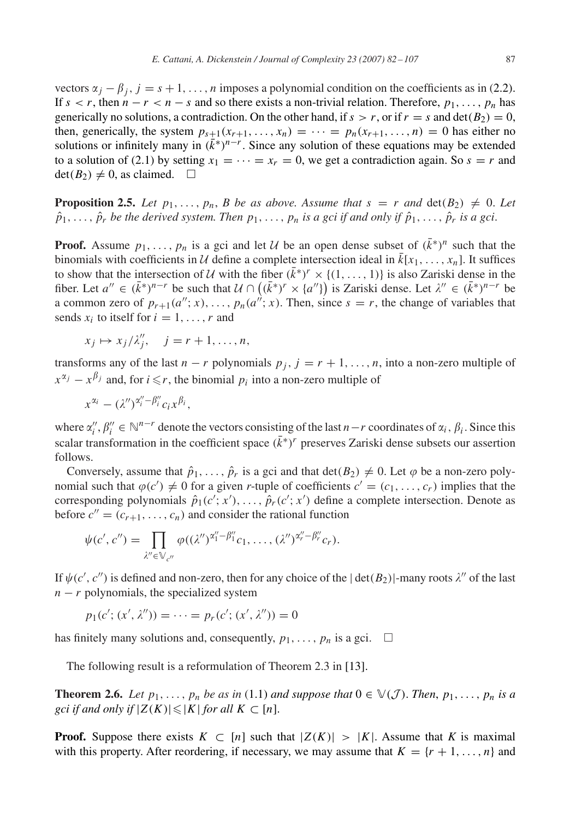<span id="page-5-0"></span>vectors  $\alpha_j - \beta_j$ ,  $j = s + 1, \ldots, n$  imposes a polynomial condition on the coefficients as in [\(2.2\)](#page-3-0). If  $s < r$ , then  $n - r < n - s$  and so there exists a non-trivial relation. Therefore,  $p_1, \ldots, p_n$  has generically no solutions, a contradiction. On the other hand, if  $s > r$ , or if  $r = s$  and  $det(B_2) = 0$ , then, generically, the system  $p_{s+1}(x_{r+1},...,x_n) = \cdots = p_n(x_{r+1},...,n) = 0$  has either no solutions or infinitely many in  $(k<sup>*</sup>)<sup>n-r</sup>$ . Since any solution of these equations may be extended to a solution of [\(2.1\)](#page-3-0) by setting  $x_1 = \cdots = x_r = 0$ , we get a contradiction again. So  $s = r$  and  $\det(B_2) \neq 0$ , as claimed.  $\square$ 

**Proposition 2.5.** *Let*  $p_1, \ldots, p_n$ , *B be as above. Assume that*  $s = r$  *and*  $\det(B_2) \neq 0$ . Let  $\hat{p}_1, \ldots, \hat{p}_r$  *be the derived system. Then*  $p_1, \ldots, p_n$  *is a gci if and only if*  $\hat{p}_1, \ldots, \hat{p}_r$  *is a gci.* 

**Proof.** Assume  $p_1, \ldots, p_n$  is a gci and let U be an open dense subset of  $(k^*)^n$  such that the binomials with coefficients in U define a complete intersection ideal in  $\bar{k}[x_1, \ldots, x_n]$ . It suffices to show that the intersection of U with the fiber  $(k^*)^r \times \{(1,\ldots,1)\}\)$  is also Zariski dense in the fiber. Let  $a'' \in (\bar{k}^*)^{n-r}$  be such that  $U \cap ((\bar{k}^*)^r \times {a''})$  is Zariski dense. Let  $\lambda'' \in (\bar{k}^*)^{n-r}$  be a common zero of  $p_{r+1}(a''; x), \ldots, p_n(a^{n'}; x)$ . Then, since  $s = r$ , the change of variables that sends  $x_i$  to itself for  $i = 1, \ldots, r$  and

$$
x_j \mapsto x_j/\lambda''_j, \quad j = r+1, \dots, n,
$$

transforms any of the last  $n - r$  polynomials  $p_j$ ,  $j = r + 1, \ldots, n$ , into a non-zero multiple of  $x^{\alpha_j} - x^{\beta_j}$  and, for *i*  $\leq r$ , the binomial  $p_i$  into a non-zero multiple of

$$
x^{\alpha_i} - (\lambda'')^{\alpha''_i - \beta''_i} c_i x^{\beta_i},
$$

where  $\alpha''_i$ ,  $\beta''_i \in \mathbb{N}^{n-r}$  denote the vectors consisting of the last *n*−*r* coordinates of  $\alpha_i$ ,  $\beta_i$ . Since this scalar transformation in the coefficient space  $(\bar{k}*)^r$  preserves Zariski dense subsets our assertion follows.

Conversely, assume that  $\hat{p}_1, \ldots, \hat{p}_r$  is a gci and that  $\det(B_2) \neq 0$ . Let  $\varphi$  be a non-zero polynomial such that  $\varphi(c') \neq 0$  for a given *r*-tuple of coefficients  $c' = (c_1, \ldots, c_r)$  implies that the corresponding polynomials  $\hat{p}_1(c'; x'), \ldots, \hat{p}_r(c'; x')$  define a complete intersection. Denote as before  $c'' = (c_{r+1}, \ldots, c_n)$  and consider the rational function

$$
\psi(c',c'')=\prod_{\lambda''\in\mathbb{V}_{c''}}\varphi((\lambda'')^{\alpha''_1-\beta''_1}c_1,\ldots,(\lambda'')^{\alpha''_r-\beta''_r}c_r).
$$

If  $\psi(c', c'')$  is defined and non-zero, then for any choice of the  $|\det(B_2)|$ -many roots  $\lambda''$  of the last  $n - r$  polynomials, the specialized system

$$
p_1(c'; (x', \lambda'')) = \cdots = p_r(c'; (x', \lambda'')) = 0
$$

has finitely many solutions and, consequently,  $p_1, \ldots, p_n$  is a gci.  $\Box$ 

The following result is a reformulation of Theorem 2.3 in [\[13\].](#page-24-0)

**Theorem 2.6.** *Let*  $p_1, \ldots, p_n$  *be as in* [\(1.1\)](#page-1-0) *and suppose that*  $0 \in \mathbb{V}(\mathcal{J})$ *. Then,*  $p_1, \ldots, p_n$  *is a gci if and only if*  $|Z(K)| \leq |K|$  *for all*  $K \subset [n]$ .

**Proof.** Suppose there exists  $K \subset [n]$  such that  $|Z(K)| > |K|$ . Assume that *K* is maximal with this property. After reordering, if necessary, we may assume that  $K = \{r + 1, \ldots, n\}$  and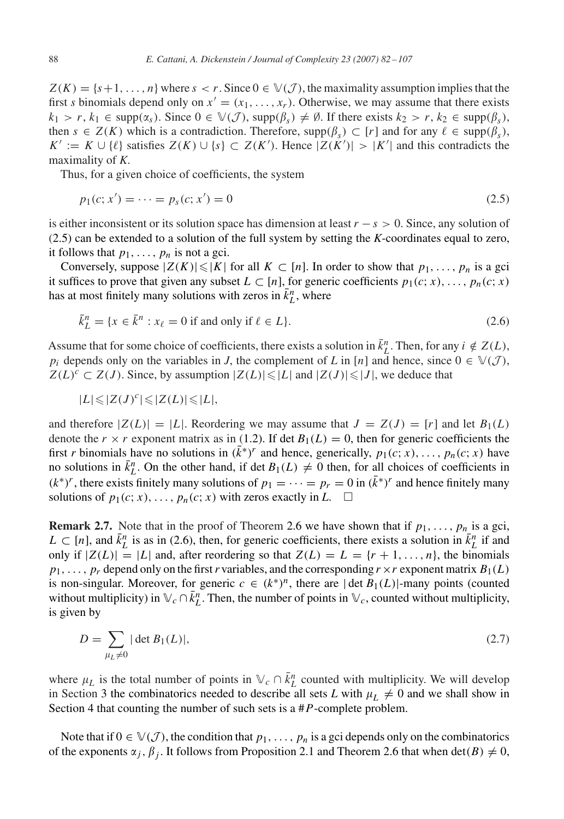<span id="page-6-0"></span> $Z(K) = \{s+1, \ldots, n\}$  where  $s < r$ . Since  $0 \in \mathcal{V}(\mathcal{J})$ , the maximality assumption implies that the first *s* binomials depend only on  $x' = (x_1, \ldots, x_r)$ . Otherwise, we may assume that there exists  $k_1 > r$ ,  $k_1 \in \text{supp}(\alpha_s)$ . Since  $0 \in \mathbb{V}(\mathcal{J})$ ,  $\text{supp}(\beta_s) \neq \emptyset$ . If there exists  $k_2 > r$ ,  $k_2 \in \text{supp}(\beta_s)$ , then  $s \in Z(K)$  which is a contradiction. Therefore,  $\text{supp}(\beta_s) \subset [r]$  and for any  $\ell \in \text{supp}(\beta_s)$ , *K*<sup>*'*</sup> := *K* ∪ { $\ell$ } satisfies *Z(K)* ∪ { $s$ } ⊂ *Z(K'*). Hence  $|Z(K')|$  >  $|K'|$  and this contradicts the maximality of *K*.

Thus, for a given choice of coefficients, the system

$$
p_1(c; x') = \dots = p_s(c; x') = 0 \tag{2.5}
$$

is either inconsistent or its solution space has dimension at least *r* − *s >* 0. Since, any solution of (2.5) can be extended to a solution of the full system by setting the *K*-coordinates equal to zero, it follows that  $p_1, \ldots, p_n$  is not a gci.

Conversely, suppose  $|Z(K)| \leq |K|$  for all  $K \subset [n]$ . In order to show that  $p_1, \ldots, p_n$  is a gci it suffices to prove that given any subset  $L \subset [n]$ , for generic coefficients  $p_1(c; x), \ldots, p_n(c; x)$ has at most finitely many solutions with zeros in  $\bar{k}_L^n$ , where

$$
\bar{k}_L^n = \{x \in \bar{k}^n : x_\ell = 0 \text{ if and only if } \ell \in L\}.
$$
\n
$$
(2.6)
$$

Assume that for some choice of coefficients, there exists a solution in  $\bar{k}_L^n$ . Then, for any  $i \notin Z(L)$ , *p<sub>i</sub>* depends only on the variables in *J*, the complement of *L* in [*n*] and hence, since  $0 \in \mathbb{V}(\mathcal{J})$ ,  $Z(L)^c \subset Z(J)$ . Since, by assumption  $|Z(L)| \leq |L|$  and  $|Z(J)| \leq |J|$ , we deduce that

$$
|L| \leqslant |Z(J)^c| \leqslant |Z(L)| \leqslant |L|,
$$

and therefore  $|Z(L)|=|L|$ . Reordering we may assume that  $J = Z(J) = [r]$  and let  $B_1(L)$ denote the  $r \times r$  exponent matrix as in [\(1.2\)](#page-1-0). If det  $B_1(L) = 0$ , then for generic coefficients the first *r* binomials have no solutions in  $(k<sup>*</sup>)<sup>r</sup>$  and hence, generically,  $p_1(c; x), \ldots, p_n(c; x)$  have no solutions in  $\bar{k}_L^n$ . On the other hand, if det  $B_1(L) \neq 0$  then, for all choices of coefficients in  $(k<sup>*</sup>)<sup>r</sup>$ , there exists finitely many solutions of  $p_1 = \cdots = p_r = 0$  in  $(k<sup>*</sup>)<sup>r</sup>$  and hence finitely many solutions of  $p_1(c; x), \ldots, p_n(c; x)$  with zeros exactly in *L*.  $\Box$ 

**Remark 2.7.** Note that in the proof of Theorem [2.6](#page-5-0) we have shown that if  $p_1, \ldots, p_n$  is a gci, *L* ⊂ [*n*], and  $\bar{k}_L^n$  is as in (2.6), then, for generic coefficients, there exists a solution in  $\bar{k}_L^n$  if and only if  $|Z(L)|=|L|$  and, after reordering so that  $Z(L)=L=\{r+1,\ldots,n\}$ , the binomials  $p_1, \ldots, p_r$  depend only on the first *r* variables, and the corresponding  $r \times r$  exponent matrix  $B_1(L)$ is non-singular. Moreover, for generic  $c \in (k^*)^n$ , there are  $|\det B_1(L)|$ -many points (counted without multiplicity) in  $\mathbb{V}_c \cap \overline{k}_L^n$ . Then, the number of points in  $\mathbb{V}_c$ , counted without multiplicity, is given by

$$
D = \sum_{\mu_L \neq 0} |\det B_1(L)|,\tag{2.7}
$$

where  $\mu_L$  is the total number of points in  $\mathbb{V}_c \cap \overline{k}_L^n$  counted with multiplicity. We will develop in Section [3](#page-9-0) the combinatorics needed to describe all sets L with  $\mu_L \neq 0$  and we shall show in Section [4](#page-19-0) that counting the number of such sets is a #*P*-complete problem.

Note that if  $0 \in \mathcal{V}(\mathcal{J})$ , the condition that  $p_1, \ldots, p_n$  is a gci depends only on the combinatorics of the exponents  $\alpha_j$ ,  $\beta_j$ . It follows from Proposition [2.1](#page-3-0) and Theorem [2.6](#page-5-0) that when det(B)  $\neq 0$ ,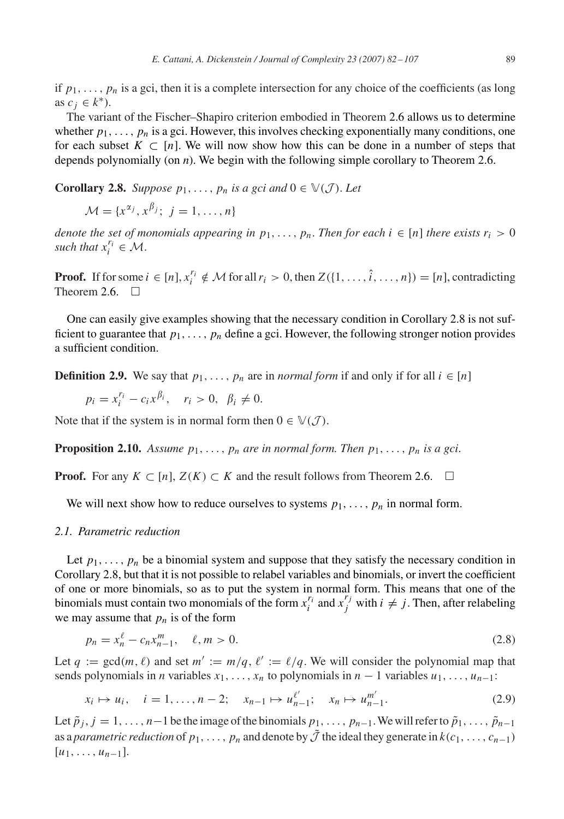<span id="page-7-0"></span>if  $p_1, \ldots, p_n$  is a gci, then it is a complete intersection for any choice of the coefficients (as long as  $c_j \in k^*$ ).

The variant of the Fischer–Shapiro criterion embodied in Theorem [2.6](#page-5-0) allows us to determine whether  $p_1, \ldots, p_n$  is a gci. However, this involves checking exponentially many conditions, one for each subset  $K \subset [n]$ . We will now show how this can be done in a number of steps that depends polynomially (on *n*). We begin with the following simple corollary to Theorem [2.6.](#page-5-0)

**Corollary 2.8.** *Suppose*  $p_1, \ldots, p_n$  *is a gci and*  $0 \in \mathbb{V}(\mathcal{J})$ *. Let* 

$$
\mathcal{M} = \{x^{\alpha_j}, x^{\beta_j}; j = 1, \ldots, n\}
$$

*denote the set of monomials appearing in*  $p_1, \ldots, p_n$ . *Then for each*  $i \in [n]$  *there exists*  $r_i > 0$ *such that*  $x_i^{r_i} \in \mathcal{M}$ .

**Proof.** If for some  $i \in [n]$ ,  $x_i^{r_i} \notin M$  for all  $r_i > 0$ , then  $Z(\{1, \ldots, \hat{i}, \ldots, n\}) = [n]$ , contradicting Theorem [2.6.](#page-5-0)  $\Box$ 

One can easily give examples showing that the necessary condition in Corollary 2.8 is not sufficient to guarantee that  $p_1, \ldots, p_n$  define a gci. However, the following stronger notion provides a sufficient condition.

**Definition 2.9.** We say that  $p_1, \ldots, p_n$  are in *normal form* if and only if for all  $i \in [n]$ 

 $p_i = x_i^{r_i} - c_i x^{\beta_i}, \quad r_i > 0, \ \beta_i \neq 0.$ 

Note that if the system is in normal form then  $0 \in \mathbb{V}(\mathcal{J})$ .

**Proposition 2.10.** Assume  $p_1, \ldots, p_n$  are in normal form. Then  $p_1, \ldots, p_n$  is a gci.

**Proof.** For any  $K \subset [n], Z(K) \subset K$  and the result follows from Theorem [2.6.](#page-5-0)  $\Box$ 

We will next show how to reduce ourselves to systems  $p_1, \ldots, p_n$  in normal form.

### *2.1. Parametric reduction*

Let  $p_1, \ldots, p_n$  be a binomial system and suppose that they satisfy the necessary condition in Corollary 2.8, but that it is not possible to relabel variables and binomials, or invert the coefficient of one or more binomials, so as to put the system in normal form. This means that one of the binomials must contain two monomials of the form  $x_i^{r_i}$  and  $x_j^{r_j}$  with  $i \neq j$ . Then, after relabeling we may assume that  $p_n$  is of the form

$$
p_n = x_n^{\ell} - c_n x_{n-1}^m, \quad \ell, m > 0.
$$
\n(2.8)

Let  $q := \gcd(m, \ell)$  and set  $m' := m/q$ ,  $\ell' := \ell/q$ . We will consider the polynomial map that sends polynomials in *n* variables  $x_1, \ldots, x_n$  to polynomials in  $n - 1$  variables  $u_1, \ldots, u_{n-1}$ :

$$
x_i \mapsto u_i, \quad i = 1, \dots, n-2; \quad x_{n-1} \mapsto u_{n-1}^{\ell'}, \quad x_n \mapsto u_{n-1}^{m'}.
$$
 (2.9)

Let  $\tilde{p}_j$ ,  $j = 1, \ldots, n-1$  be the image of the binomials  $p_1, \ldots, p_{n-1}$ . We will refer to  $\tilde{p}_1, \ldots, \tilde{p}_{n-1}$ as a *parametric reduction* of  $p_1, \ldots, p_n$  and denote by  $\tilde{J}$  the ideal they generate in  $k(c_1, \ldots, c_{n-1})$  $[u_1, \ldots, u_{n-1}].$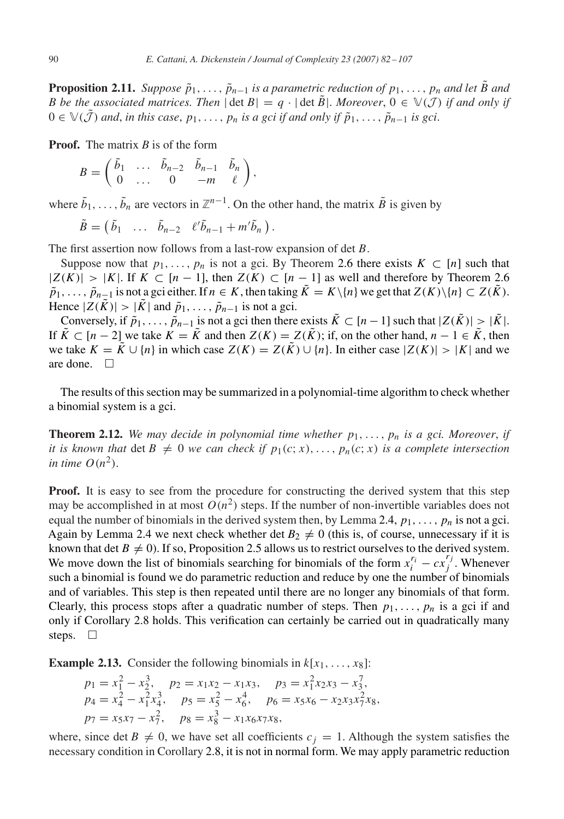<span id="page-8-0"></span>**Proposition 2.11.** *Suppose*  $\tilde{p}_1, \ldots, \tilde{p}_{n-1}$  *is a parametric reduction of*  $p_1, \ldots, p_n$  *and let B and B be the associated matrices. Then*  $|\det B| = q \cdot |\det B|$ . Moreover,  $0 \in \mathbb{V}(\mathcal{J})$  *if and only if*  $0 ∈ ∇(J)$  *and, in this case, p*<sub>1</sub>*,..., p<sub>n</sub> is a gci if and only if*  $\tilde{p}_1, \ldots, \tilde{p}_{n-1}$  *is gci.* 

**Proof.** The matrix *B* is of the form

$$
B=\begin{pmatrix}\tilde{b}_1&\ldots&\tilde{b}_{n-2}&\tilde{b}_{n-1}&\tilde{b}_n\\0&\ldots&0&-m&\ell\end{pmatrix},
$$

where  $\tilde{b}_1, \ldots, \tilde{b}_n$  are vectors in  $\mathbb{Z}^{n-1}$ . On the other hand, the matrix  $\tilde{B}$  is given by

$$
\tilde{B} = (\tilde{b}_1 \ldots \tilde{b}_{n-2} \ell' \tilde{b}_{n-1} + m' \tilde{b}_n).
$$

The first assertion now follows from a last-row expansion of det *B*.

Suppose now that  $p_1, \ldots, p_n$  is not a gci. By Theorem [2.6](#page-5-0) there exists  $K \subset [n]$  such that  $|Z(K)| > |K|$ . If  $K ⊂ [n-1]$ , then  $Z(K) ⊂ [n-1]$  as well and therefore by Theorem [2.6](#page-5-0) *p*<sup>1</sup>,...,  $\tilde{p}_{n-1}$  is not a gci either. If  $n \in K$ , then taking  $K = K \setminus \{n\}$  we get that  $Z(K) \setminus \{n\} \subset Z(\tilde{K})$ . Hence  $|Z(K)| > |K|$  and  $\tilde{p}_1, \ldots, \tilde{p}_{n-1}$  is not a gci.

Conversely, if  $\tilde{p}_1, \ldots, \tilde{p}_{n-1}$  is not a gci then there exists  $\tilde{K} \subset [n-1]$  such that  $|Z(\tilde{K})| > |\tilde{K}|$ . If  $\tilde{K}$  ⊂ [*n* − 2] we take  $K = \tilde{K}$  and then  $Z(K) = Z(\tilde{K})$ ; if, on the other hand, *n* − 1 ∈  $\tilde{K}$ , then we take  $K = \tilde{K} \cup \{n\}$  in which case  $Z(K) = Z(\tilde{K}) \cup \{n\}$ . In either case  $|Z(K)| > |K|$  and we are done.  $\Box$ 

The results of this section may be summarized in a polynomial-time algorithm to check whether a binomial system is a gci.

**Theorem 2.12.** We may decide in polynomial time whether  $p_1, \ldots, p_n$  is a gci. Moreover, if *it is known that* det  $B \neq 0$  *we can check if*  $p_1(c; x), \ldots, p_n(c; x)$  *is a complete intersection in time*  $O(n^2)$ .

**Proof.** It is easy to see from the procedure for constructing the derived system that this step may be accomplished in at most  $O(n^2)$  steps. If the number of non-invertible variables does not equal the number of binomials in the derived system then, by Lemma [2.4,](#page-4-0)  $p_1, \ldots, p_n$  is not a gci. Again by Lemma [2.4](#page-4-0) we next check whether det  $B_2 \neq 0$  (this is, of course, unnecessary if it is known that det  $B \neq 0$ ). If so, Proposition [2.5](#page-5-0) allows us to restrict ourselves to the derived system. We move down the list of binomials searching for binomials of the form  $x_i^{r_i} - cx_j^{r_j}$ . Whenever such a binomial is found we do parametric reduction and reduce by one the number of binomials and of variables. This step is then repeated until there are no longer any binomials of that form. Clearly, this process stops after a quadratic number of steps. Then  $p_1, \ldots, p_n$  is a gci if and only if Corollary [2.8](#page-7-0) holds. This verification can certainly be carried out in quadratically many steps.  $\Box$ 

**Example 2.13.** Consider the following binomials in  $k[x_1, \ldots, x_8]$ :

$$
p_1 = x_1^2 - x_2^3, \quad p_2 = x_1x_2 - x_1x_3, \quad p_3 = x_1^2x_2x_3 - x_3^7, p_4 = x_4^2 - x_1^2x_4^3, \quad p_5 = x_5^2 - x_6^4, \quad p_6 = x_5x_6 - x_2x_3x_7^2x_8, p_7 = x_5x_7 - x_7^2, \quad p_8 = x_8^3 - x_1x_6x_7x_8,
$$

where, since det  $B \neq 0$ , we have set all coefficients  $c_j = 1$ . Although the system satisfies the necessary condition in Corollary [2.8,](#page-7-0) it is not in normal form. We may apply parametric reduction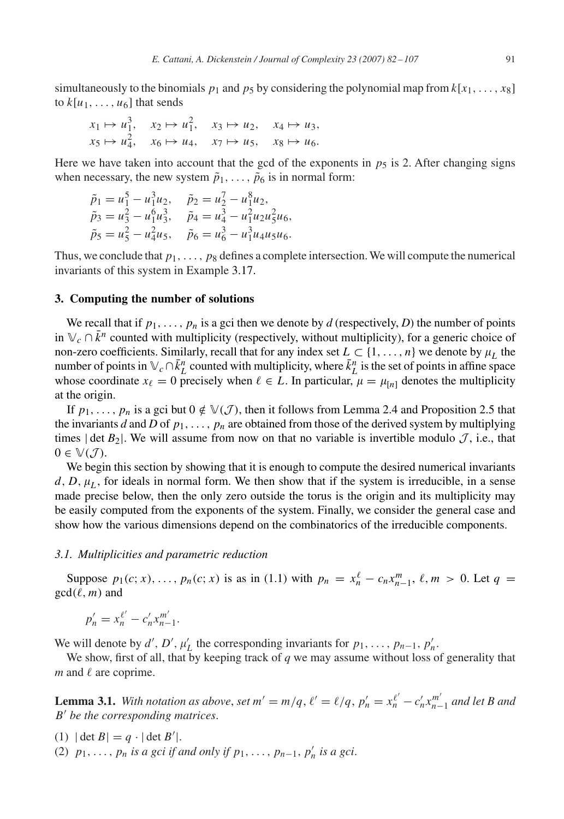<span id="page-9-0"></span>simultaneously to the binomials  $p_1$  and  $p_5$  by considering the polynomial map from  $k[x_1, \ldots, x_8]$ to  $k[u_1, \ldots, u_6]$  that sends

$$
x_1 \mapsto u_1^3, \quad x_2 \mapsto u_1^2, \quad x_3 \mapsto u_2, \quad x_4 \mapsto u_3,
$$
  

$$
x_5 \mapsto u_4^2, \quad x_6 \mapsto u_4, \quad x_7 \mapsto u_5, \quad x_8 \mapsto u_6.
$$

Here we have taken into account that the gcd of the exponents in  $p<sub>5</sub>$  is 2. After changing signs when necessary, the new system  $\tilde{p}_1, \ldots, \tilde{p}_6$  is in normal form:

$$
\tilde{p}_1 = u_1^5 - u_1^3 u_2, \quad \tilde{p}_2 = u_2^7 - u_1^8 u_2, \n\tilde{p}_3 = u_3^2 - u_1^6 u_3^3, \quad \tilde{p}_4 = u_4^3 - u_1^2 u_2 u_5^2 u_6, \n\tilde{p}_5 = u_5^2 - u_4^2 u_5, \quad \tilde{p}_6 = u_6^3 - u_1^3 u_4 u_5 u_6.
$$

Thus, we conclude that  $p_1, \ldots, p_8$  defines a complete intersection. We will compute the numerical invariants of this system in Example [3.17.](#page-18-0)

#### **3. Computing the number of solutions**

We recall that if  $p_1, \ldots, p_n$  is a gci then we denote by *d* (respectively, *D*) the number of points in  $\mathbb{V}_c \cap \bar{k}^n$  counted with multiplicity (respectively, without multiplicity), for a generic choice of non-zero coefficients. Similarly, recall that for any index set  $L \subset \{1, \ldots, n\}$  we denote by  $\mu_L$  the number of points in  $\mathbb{V}_c \cap \bar{k}_L^n$  counted with multiplicity, where  $\bar{k}_L^n$  is the set of points in affine space whose coordinate  $x_{\ell} = 0$  precisely when  $\ell \in L$ . In particular,  $\mu = \mu_{n}$  denotes the multiplicity at the origin.

If  $p_1, \ldots, p_n$  is a gci but  $0 \notin V(\mathcal{J})$ , then it follows from Lemma [2.4](#page-4-0) and Proposition [2.5](#page-5-0) that the invariants *d* and *D* of  $p_1, \ldots, p_n$  are obtained from those of the derived system by multiplying times  $|\det B_2|$ . We will assume from now on that no variable is invertible modulo  $\mathcal{J}$ , i.e., that  $0 \in \mathbb{V}(\mathcal{J}).$ 

We begin this section by showing that it is enough to compute the desired numerical invariants  $d, D, \mu<sub>L</sub>$ , for ideals in normal form. We then show that if the system is irreducible, in a sense made precise below, then the only zero outside the torus is the origin and its multiplicity may be easily computed from the exponents of the system. Finally, we consider the general case and show how the various dimensions depend on the combinatorics of the irreducible components.

#### *3.1. Multiplicities and parametric reduction*

Suppose  $p_1(c; x), \ldots, p_n(c; x)$  is as in [\(1.1\)](#page-1-0) with  $p_n = x_n^{\ell} - c_n x_{n-1}^m, \ell, m > 0$ . Let  $q =$  $gcd(\ell, m)$  and

$$
p'_{n} = x_{n}^{\ell'} - c'_{n} x_{n-1}^{m'}.
$$

We will denote by  $d'$ ,  $D'$ ,  $\mu'_{L}$  the corresponding invariants for  $p_1, \ldots, p_{n-1}, p'_n$ .

We show, first of all, that by keeping track of *q* we may assume without loss of generality that  $m$  and  $\ell$  are coprime.

**Lemma 3.1.** With notation as above, set  $m' = m/q$ ,  $\ell' = \ell/q$ ,  $p'_n = x_n^{\ell'} - c'_n x_{n-1}^{m'}$  and let B and *B be the corresponding matrices*.

- (1)  $|\det B| = q \cdot |\det B'|$ .
- (2)  $p_1, \ldots, p_n$  *is a gci if and only if*  $p_1, \ldots, p_{n-1}, p'_n$  *is a gci.*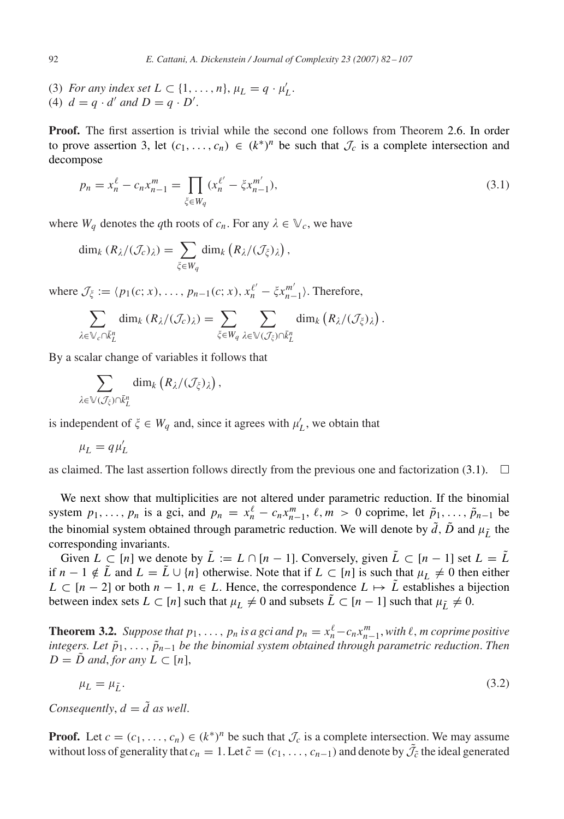- <span id="page-10-0"></span>(3) *For any index set*  $L \subset \{1, ..., n\}$ ,  $\mu_L = q \cdot \mu'_L$ .
- (4)  $d = q \cdot d'$  and  $D = q \cdot D'$ .

**Proof.** The first assertion is trivial while the second one follows from Theorem [2.6.](#page-5-0) In order to prove assertion 3, let  $(c_1, \ldots, c_n) \in (k^*)^n$  be such that  $\mathcal{J}_c$  is a complete intersection and decompose

$$
p_n = x_n^{\ell} - c_n x_{n-1}^m = \prod_{\xi \in W_q} (x_n^{\ell'} - \xi x_{n-1}^{m'}),
$$
\n(3.1)

where  $W_q$  denotes the *q*th roots of  $c_n$ . For any  $\lambda \in V_c$ , we have

$$
\dim_k (R_{\lambda}/(\mathcal{J}_c)_{\lambda}) = \sum_{\xi \in W_q} \dim_k (R_{\lambda}/(\mathcal{J}_{\xi})_{\lambda}),
$$

where  $\mathcal{J}_{\xi} := \langle p_1(c; x), \dots, p_{n-1}(c; x), x_n^{\ell'} - \xi x_{n-1}^{m'} \rangle$ . Therefore,

$$
\sum_{\lambda \in \mathbb{V}_c \cap \bar{k}_L^n} \dim_k (R_{\lambda}/(\mathcal{J}_c)_{\lambda}) = \sum_{\xi \in W_q} \sum_{\lambda \in \mathbb{V}(\mathcal{J}_{\xi}) \cap \bar{k}_L^n} \dim_k (R_{\lambda}/(\mathcal{J}_{\xi})_{\lambda}).
$$

By a scalar change of variables it follows that

$$
\sum_{\lambda \in \mathbb{V}(\mathcal{J}_{\xi}) \cap \bar{k}_{L}^{n}} \dim_{k} (R_{\lambda}/(\mathcal{J}_{\xi})_{\lambda}),
$$

is independent of  $\xi \in W_q$  and, since it agrees with  $\mu'_L$ , we obtain that

$$
\mu_L = q \mu'_L
$$

as claimed. The last assertion follows directly from the previous one and factorization (3.1).  $\Box$ 

We next show that multiplicities are not altered under parametric reduction. If the binomial system  $p_1, \ldots, p_n$  is a gci, and  $p_n = x_n^{\ell} - c_n x_{n-1}^m$ ,  $\ell, m > 0$  coprime, let  $\tilde{p}_1, \ldots, \tilde{p}_{n-1}$  be the binomial system obtained through parametric reduction. We will denote by  $\tilde{d}$ ,  $\tilde{D}$  and  $\mu_{\tilde{I}}$  the corresponding invariants.

Given  $L \subset [n]$  we denote by  $\tilde{L} := L \cap [n-1]$ . Conversely, given  $\tilde{L} \subset [n-1]$  set  $L = \tilde{L}$ if *n* − 1  $\notin \tilde{L}$  and  $L = \tilde{L} \cup \{n\}$  otherwise. Note that if  $L \subset [n]$  is such that  $\mu_L \neq 0$  then either  $L \subset [n-2]$  or both  $n-1, n \in L$ . Hence, the correspondence  $L \mapsto L$  establishes a bijection between index sets  $L \subset [n]$  such that  $\mu_L \neq 0$  and subsets  $\tilde{L} \subset [n-1]$  such that  $\mu_{\tilde{L}} \neq 0$ .

**Theorem 3.2.** Suppose that  $p_1, \ldots, p_n$  is a gci and  $p_n = x_n^{\ell} - c_n x_{n-1}^m$ , with  $\ell, m$  coprime positive *integers. Let*  $\tilde{p}_1, \ldots, \tilde{p}_{n-1}$  *be the binomial system obtained through parametric reduction. Then*  $D = \tilde{D}$  *and*, *for any*  $L \subset [n]$ ,

$$
\mu_L = \mu_{\tilde{L}}.\tag{3.2}
$$

*Consequently*,  $d = \tilde{d}$  *as well.* 

**Proof.** Let  $c = (c_1, \ldots, c_n) \in (k^*)^n$  be such that  $\mathcal{J}_c$  is a complete intersection. We may assume without loss of generality that  $c_n = 1$ . Let  $\tilde{c} = (c_1, \ldots, c_{n-1})$  and denote by  $\tilde{J}_{\tilde{c}}$  the ideal generated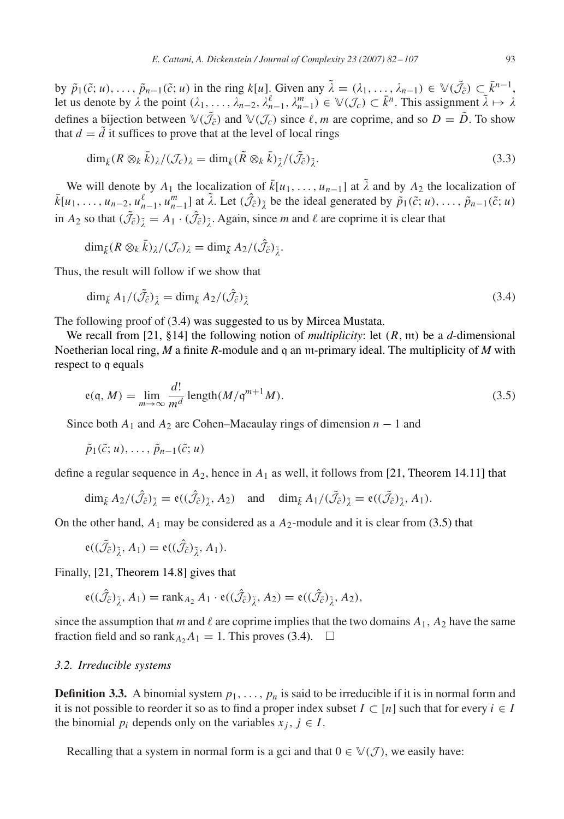<span id="page-11-0"></span>by  $\tilde{p}_1(\tilde{c}; u), \ldots, \tilde{p}_{n-1}(\tilde{c}; u)$  in the ring  $k[u]$ . Given any  $\tilde{\lambda} = (\lambda_1, \ldots, \lambda_{n-1}) \in \mathbb{V}(\tilde{\mathcal{J}}_{\tilde{c}}) \subset \bar{k}^{n-1}$ , let us denote by  $\lambda$  the point  $(\lambda_1, \ldots, \lambda_{n-2}, \lambda_{n-1}^{\ell}, \lambda_{n-1}^m) \in \mathbb{V}(\mathcal{J}_c) \subset \overline{k}^n$ . This assignment  $\overline{\lambda} \mapsto \lambda$ defines a bijection between  $\mathbb{V}(\tilde{\mathcal{J}}_{\tilde{c}})$  and  $\mathbb{V}(\mathcal{J}_c)$  since  $\ell, m$  are coprime, and so  $D = \tilde{D}$ . To show that  $d = \tilde{d}$  it suffices to prove that at the level of local rings

$$
\dim_{\bar{k}} (R \otimes_k \bar{k})_{\lambda}/(\mathcal{J}_c)_{\lambda} = \dim_{\bar{k}} (\tilde{R} \otimes_k \bar{k})_{\tilde{\lambda}}/(\tilde{\mathcal{J}}_{\tilde{c}})_{\tilde{\lambda}}.
$$
\n(3.3)

We will denote by  $A_1$  the localization of  $\bar{k}[u_1,\ldots,u_{n-1}]$  at  $\tilde{\lambda}$  and by  $A_2$  the localization of  $\overline{k}[u_1,\ldots,u_{n-2},u_{n-1}^{\ell},u_{n-1}^m]$  at  $\tilde{\lambda}$ . Let  $(\hat{\mathcal{J}}_{\tilde{\mathcal{C}}})_{\tilde{\lambda}}$  be the ideal generated by  $\overline{\tilde{p}}_1(\tilde{\mathcal{C}};u),\ldots,\overline{\tilde{p}}_{n-1}(\tilde{\mathcal{C}};u)$ in  $A_2$  so that  $(\tilde{J}_c)_{\tilde{\lambda}} = A_1 \cdot (\hat{J}_c)_{\tilde{\lambda}}$ . Again, since *m* and  $\ell$  are coprime it is clear that

$$
\dim_{\bar{k}}(R\otimes_k\bar{k})_\lambda/(\mathcal{J}_c)_\lambda=\dim_{\bar{k}}A_2/(\hat{\mathcal{J}}_{\tilde{c}})_{\tilde{\lambda}}.
$$

Thus, the result will follow if we show that

$$
\dim_{\bar{k}} A_1 / (\tilde{\mathcal{J}}_{\tilde{c}})_{\tilde{\lambda}} = \dim_{\bar{k}} A_2 / (\hat{\mathcal{J}}_{\tilde{c}})_{\tilde{\lambda}}
$$
\n(3.4)

The following proof of (3.4) was suggested to us by Mircea Mustata.

We recall from [21, §14] the following notion of *multiplicity*: let *(R,* m*)* be a *d*-dimensional Noetherian local ring, *M* a finite *R*-module and q an m-primary ideal. The multiplicity of *M* with respect to q equals

$$
e(q, M) = \lim_{m \to \infty} \frac{d!}{m^d} \operatorname{length}(M/\mathfrak{q}^{m+1}M). \tag{3.5}
$$

Since both  $A_1$  and  $A_2$  are Cohen–Macaulay rings of dimension  $n-1$  and

 $\tilde{p}_1(\tilde{c}; u), \ldots, \tilde{p}_{n-1}(\tilde{c}; u)$ 

define a regular sequence in  $A_2$ , hence in  $A_1$  as well, it follows from [21, Theorem 14.11] that

$$
\dim_{\bar{k}} A_2/(\hat{\mathcal{J}}_{\tilde{c}})_{\tilde{\lambda}} = \mathfrak{e}((\hat{\mathcal{J}}_{\tilde{c}})_{\tilde{\lambda}}, A_2) \quad \text{and} \quad \dim_{\bar{k}} A_1/(\tilde{\mathcal{J}}_{\tilde{c}})_{\tilde{\lambda}} = \mathfrak{e}((\tilde{\mathcal{J}}_{\tilde{c}})_{\tilde{\lambda}}, A_1).
$$

On the other hand,  $A_1$  may be considered as a  $A_2$ -module and it is clear from (3.5) that

$$
e((\tilde{\mathcal{J}}_{\tilde{c}})_{\tilde{\lambda}}, A_1) = e((\hat{\mathcal{J}}_{\tilde{c}})_{\tilde{\lambda}}, A_1).
$$

Finally, [21, Theorem 14.8] gives that

$$
e((\hat{\mathcal{J}}_{\tilde{c}})_{\tilde{\lambda}}, A_1) = \text{rank}_{A_2} A_1 \cdot e((\hat{\mathcal{J}}_{\tilde{c}})_{\tilde{\lambda}}, A_2) = e((\hat{\mathcal{J}}_{\tilde{c}})_{\tilde{\lambda}}, A_2),
$$

since the assumption that *m* and  $\ell$  are coprime implies that the two domains  $A_1$ ,  $A_2$  have the same fraction field and so rank<sub>A</sub><sub>2</sub> $A_1 = 1$ . This proves (3.4).  $\Box$ 

#### *3.2. Irreducible systems*

**Definition 3.3.** A binomial system  $p_1, \ldots, p_n$  is said to be irreducible if it is in normal form and it is not possible to reorder it so as to find a proper index subset  $I \subset [n]$  such that for every  $i \in I$ the binomial  $p_i$  depends only on the variables  $x_j$ ,  $j \in I$ .

Recalling that a system in normal form is a gci and that  $0 \in \mathbb{V}(\mathcal{J})$ , we easily have: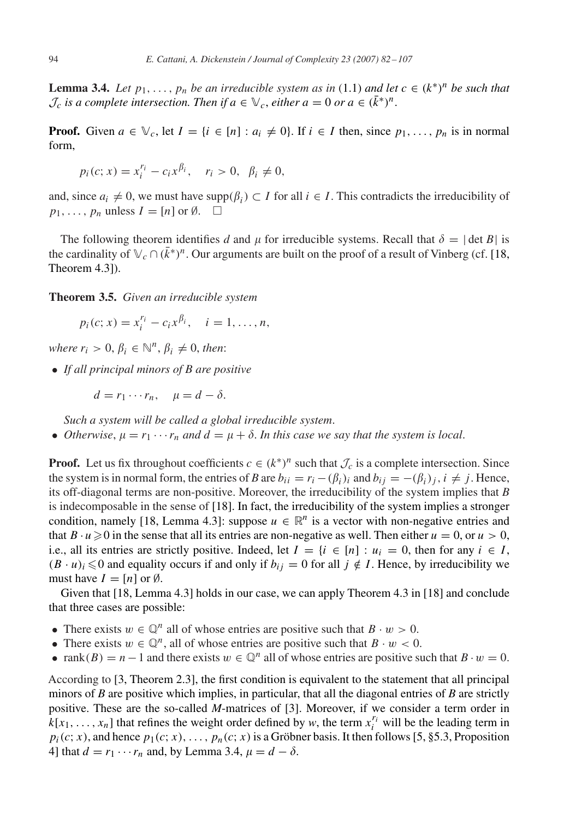<span id="page-12-0"></span>**Lemma 3.4.** *Let*  $p_1, \ldots, p_n$  *be an irreducible system as in* [\(1.1\)](#page-1-0) *and let*  $c \in (k^*)^n$  *be such that*  $\mathcal{J}_c$  *is a complete intersection. Then if*  $a \in \mathbb{V}_c$ , *either*  $a = 0$  *or*  $a \in (k^*)^n$ .

**Proof.** Given  $a \in \mathbb{V}_c$ , let  $I = \{i \in [n] : a_i \neq 0\}$ . If  $i \in I$  then, since  $p_1, \ldots, p_n$  is in normal form,

$$
p_i(c; x) = x_i^{r_i} - c_i x^{\beta_i}, \quad r_i > 0, \ \beta_i \neq 0,
$$

and, since  $a_i \neq 0$ , we must have supp $(\beta_i) \subset I$  for all  $i \in I$ . This contradicts the irreducibility of  $p_1, \ldots, p_n$  unless  $I = [n]$  or  $\emptyset$ .  $\Box$ 

The following theorem identifies *d* and  $\mu$  for irreducible systems. Recall that  $\delta = |\det B|$  is the cardinality of  $\mathbb{V}_c \cap (\bar{k}^*)^n$ . Our arguments are built on the proof of a result of Vinberg (cf. [18, Theorem 4.3]).

**Theorem 3.5.** *Given an irreducible system*

$$
p_i(c; x) = x_i^{r_i} - c_i x^{\beta_i}, \quad i = 1, ..., n,
$$

*where*  $r_i > 0$ ,  $\beta_i \in \mathbb{N}^n$ ,  $\beta_i \neq 0$ , *then*:

• *If all principal minors of B are positive*

 $d = r_1 \cdots r_n$ ,  $\mu = d - \delta$ .

*Such a system will be called a global irreducible system*.

• *Otherwise*,  $\mu = r_1 \cdots r_n$  *and*  $d = \mu + \delta$ . In this case we say that the system is local.

**Proof.** Let us fix throughout coefficients  $c \in (k^*)^n$  such that  $\mathcal{J}_c$  is a complete intersection. Since the system is in normal form, the entries of *B* are  $b_{ii} = r_i - (\beta_i)_i$  and  $b_{ii} = -(\beta_i)_i$ ,  $i \neq j$ . Hence, its off-diagonal terms are non-positive. Moreover, the irreducibility of the system implies that *B* is indecomposable in the sense of [\[18\].](#page-24-0) In fact, the irreducibility of the system implies a stronger condition, namely [\[18, Lemma 4.3\]:](#page-24-0) suppose  $u \in \mathbb{R}^n$  is a vector with non-negative entries and that  $B \cdot u \ge 0$  in the sense that all its entries are non-negative as well. Then either  $u = 0$ , or  $u > 0$ , i.e., all its entries are strictly positive. Indeed, let  $I = \{i \in [n] : u_i = 0, \text{ then for any } i \in I, \}$  $(B \cdot u)_i \leq 0$  and equality occurs if and only if  $b_{ij} = 0$  for all  $j \notin I$ . Hence, by irreducibility we must have  $I = [n]$  or  $\emptyset$ .

Given that [\[18, Lemma 4.3\]](#page-24-0) holds in our case, we can apply Theorem 4.3 in [\[18\]](#page-24-0) and conclude that three cases are possible:

- There exists  $w \in \mathbb{Q}^n$  all of whose entries are positive such that  $B \cdot w > 0$ .
- There exists  $w \in \mathbb{Q}^n$ , all of whose entries are positive such that  $B \cdot w < 0$ .
- rank $(B) = n 1$  and there exists  $w \in \mathbb{Q}^n$  all of whose entries are positive such that  $B \cdot w = 0$ .

According to [\[3, Theorem 2.3\],](#page-24-0) the first condition is equivalent to the statement that all principal minors of *B* are positive which implies, in particular, that all the diagonal entries of *B* are strictly positive. These are the so-called *M*-matrices of [\[3\].](#page-24-0) Moreover, if we consider a term order in  $k[x_1, \ldots, x_n]$  that refines the weight order defined by *w*, the term  $x_i^{r_i}$  will be the leading term in  $p_i(c; x)$ , and hence  $p_1(c; x)$ , ...,  $p_n(c; x)$  is a Gröbner basis. It then follows [5, §5.3, Proposition 4] that  $d = r_1 \cdots r_n$  $d = r_1 \cdots r_n$  $d = r_1 \cdots r_n$  and, by Lemma [3.4,](#page-11-0)  $\mu = d - \delta$ .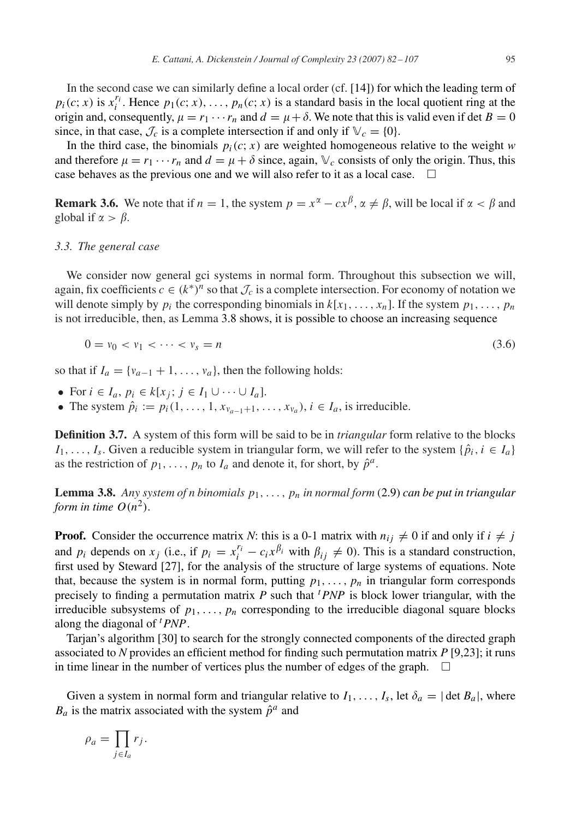<span id="page-13-0"></span>In the second case we can similarly define a local order (cf. [\[14\]\)](#page-24-0) for which the leading term of *p<sub>i</sub>*(*c*; *x*) is  $x_i^{r_i}$ . Hence  $p_1(c; x), \ldots, p_n(c; x)$  is a standard basis in the local quotient ring at the origin and, consequently,  $\mu = r_1 \cdots r_n$  and  $d = \mu + \delta$ . We note that this is valid even if det  $B = 0$ since, in that case,  $\mathcal{J}_c$  is a complete intersection if and only if  $\mathbb{V}_c = \{0\}$ .

In the third case, the binomials  $p_i(c; x)$  are weighted homogeneous relative to the weight *w* and therefore  $\mu = r_1 \cdots r_n$  and  $d = \mu + \delta$  since, again,  $\mathbb{V}_c$  consists of only the origin. Thus, this case behaves as the previous one and we will also refer to it as a local case.  $\Box$ 

**Remark 3.6.** We note that if  $n = 1$ , the system  $p = x^{\alpha} - cx^{\beta}$ ,  $\alpha \neq \beta$ , will be local if  $\alpha < \beta$  and global if  $\alpha > \beta$ .

#### *3.3. The general case*

We consider now general gci systems in normal form. Throughout this subsection we will, again, fix coefficients  $c \in (k^*)^n$  so that  $\mathcal{J}_c$  is a complete intersection. For economy of notation we will denote simply by  $p_i$  the corresponding binomials in  $k[x_1, \ldots, x_n]$ . If the system  $p_1, \ldots, p_n$ is not irreducible, then, as Lemma 3.8 shows, it is possible to choose an increasing sequence

$$
0 = v_0 < v_1 < \dots < v_s = n \tag{3.6}
$$

so that if  $I_a = \{v_{a-1} + 1, \ldots, v_a\}$ , then the following holds:

- For  $i \in I_a$ ,  $p_i \in k[x_j; j \in I_1 \cup \cdots \cup I_a]$ .
- The system  $\hat{p}_i := p_i(1, \ldots, 1, x_{\nu_{a-1}+1}, \ldots, x_{\nu_a}), i \in I_a$ , is irreducible.

**Definition 3.7.** A system of this form will be said to be in *triangular* form relative to the blocks *I*<sub>1</sub>*,...,I*<sub>s</sub>. Given a reducible system in triangular form, we will refer to the system { $\hat{p}_i$ *, i* ∈ *I<sub>a</sub>*} as the restriction of  $p_1, \ldots, p_n$  to  $I_a$  and denote it, for short, by  $\hat{p}^a$ .

**Lemma 3.8.** Any system of n binomials  $p_1, \ldots, p_n$  in normal form [\(2.9\)](#page-7-0) can be put in triangular *form in time*  $O(n^2)$ .

**Proof.** Consider the occurrence matrix *N*: this is a 0-1 matrix with  $n_{ij} \neq 0$  if and only if  $i \neq j$ and  $p_i$  depends on  $x_j$  (i.e., if  $p_i = x_i^{r_i} - c_i x^{\beta_i}$  with  $\beta_{ij} \neq 0$ ). This is a standard construction, first used by Steward [\[27\],](#page-25-0) for the analysis of the structure of large systems of equations. Note that, because the system is in normal form, putting  $p_1, \ldots, p_n$  in triangular form corresponds precisely to finding a permutation matrix  $\overrightarrow{P}$  such that  $\overrightarrow{PNP}$  is block lower triangular, with the irreducible subsystems of  $p_1, \ldots, p_n$  corresponding to the irreducible diagonal square blocks along the diagonal of *<sup>t</sup> PNP*.

Tarjan's algorithm [\[30\]](#page-25-0) to search for the strongly connected components of the directed graph associated to *N* provides an efficient method for finding such permutation matrix *P* [\[9,23\];](#page-24-0) it runs in time linear in the number of vertices plus the number of edges of the graph.  $\Box$ 

Given a system in normal form and triangular relative to  $I_1, \ldots, I_s$ , let  $\delta_a = |\det B_a|$ , where  $B_a$  is the matrix associated with the system  $\hat{p}^a$  and

$$
\rho_a = \prod_{j \in I_a} r_j.
$$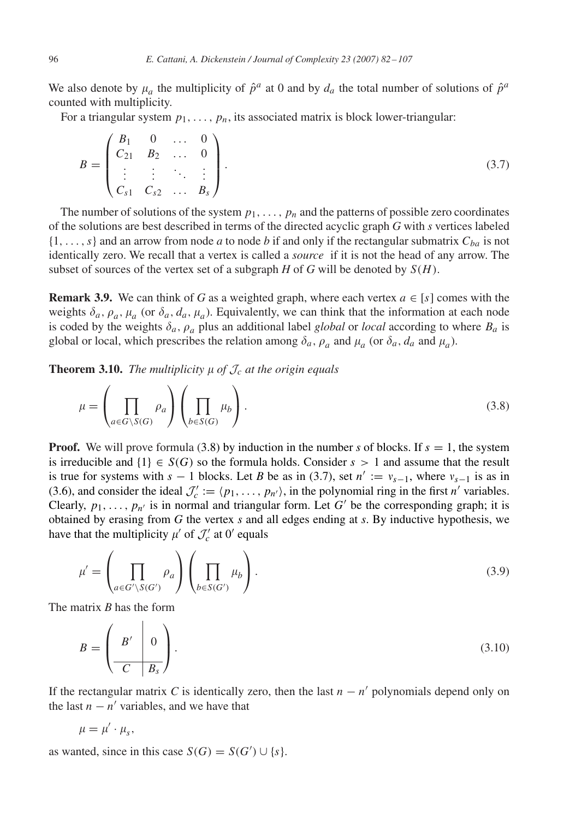<span id="page-14-0"></span>We also denote by  $\mu_a$  the multiplicity of  $\hat{p}^a$  at 0 and by  $d_a$  the total number of solutions of  $\hat{p}^a$ counted with multiplicity.

For a triangular system  $p_1, \ldots, p_n$ , its associated matrix is block lower-triangular:

$$
B = \begin{pmatrix} B_1 & 0 & \dots & 0 \\ C_{21} & B_2 & \dots & 0 \\ \vdots & \vdots & \ddots & \vdots \\ C_{s1} & C_{s2} & \dots & B_s \end{pmatrix} .
$$
 (3.7)

The number of solutions of the system  $p_1, \ldots, p_n$  and the patterns of possible zero coordinates of the solutions are best described in terms of the directed acyclic graph *G* with *s* vertices labeled  $\{1, \ldots, s\}$  and an arrow from node *a* to node *b* if and only if the rectangular submatrix  $C_{ba}$  is not identically zero. We recall that a vertex is called a *source* if it is not the head of any arrow. The subset of sources of the vertex set of a subgraph  $H$  of  $G$  will be denoted by  $S(H)$ .

**Remark 3.9.** We can think of *G* as a weighted graph, where each vertex  $a \in [s]$  comes with the weights  $\delta_a$ ,  $\rho_a$ ,  $\mu_a$  (or  $\delta_a$ ,  $d_a$ ,  $\mu_a$ ). Equivalently, we can think that the information at each node is coded by the weights  $\delta_a$ ,  $\rho_a$  plus an additional label *global* or *local* according to where  $B_a$  is global or local, which prescribes the relation among  $\delta_a$ ,  $\rho_a$  and  $\mu_a$  (or  $\delta_a$ ,  $d_a$  and  $\mu_a$ ).

**Theorem 3.10.** *The multiplicity*  $\mu$  *of*  $\mathcal{J}_c$  *at the origin equals* 

$$
\mu = \left(\prod_{a \in G \setminus S(G)} \rho_a\right) \left(\prod_{b \in S(G)} \mu_b\right). \tag{3.8}
$$

**Proof.** We will prove formula (3.8) by induction in the number *s* of blocks. If  $s = 1$ , the system is irreducible and  $\{1\} \in S(G)$  so the formula holds. Consider  $s > 1$  and assume that the result is true for systems with  $s - 1$  blocks. Let *B* be as in (3.7), set  $n' := v_{s-1}$ , where  $v_{s-1}$  is as in [\(3.6\)](#page-13-0), and consider the ideal  $\mathcal{J}'_c := \langle p_1, \ldots, p_{n'} \rangle$ , in the polynomial ring in the first *n'* variables. Clearly,  $p_1, \ldots, p_{n'}$  is in normal and triangular form. Let *G'* be the corresponding graph; it is obtained by erasing from *G* the vertex *s* and all edges ending at *s*. By inductive hypothesis, we have that the multiplicity  $\mu'$  of  $\mathcal{J}'_c$  at 0<sup>'</sup> equals

$$
\mu' = \left(\prod_{a \in G' \setminus S(G')} \rho_a\right) \left(\prod_{b \in S(G')} \mu_b\right). \tag{3.9}
$$

The matrix *B* has the form

$$
B = \left(\begin{array}{c|c} B' & 0 \\ \hline C & B_s \end{array}\right). \tag{3.10}
$$

If the rectangular matrix *C* is identically zero, then the last  $n - n'$  polynomials depend only on the last  $n - n'$  variables, and we have that

$$
\mu=\mu'\cdot\mu_s,
$$

as wanted, since in this case  $S(G) = S(G') \cup \{s\}.$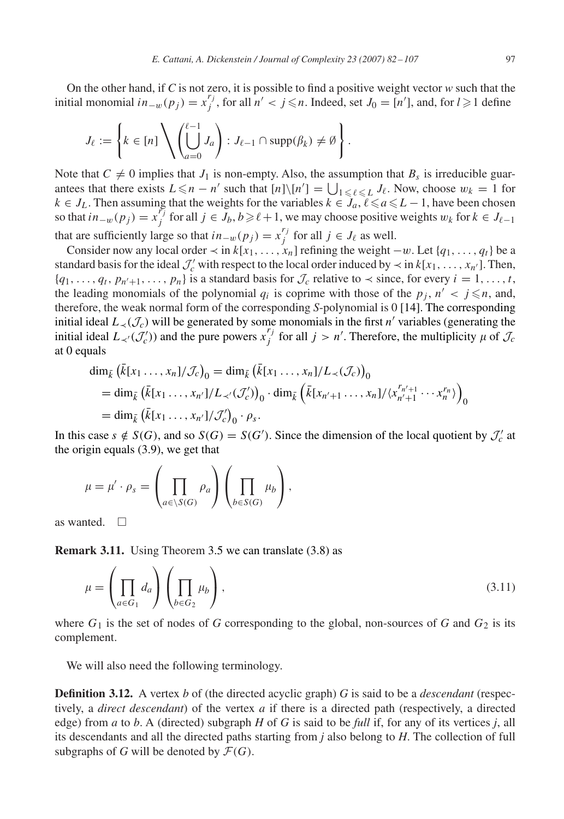On the other hand, if *C* is not zero, it is possible to find a positive weight vector *w* such that the initial monomial  $in_{-w}(p_j) = x_j^{r_j}$ , for all  $n' < j \le n$ . Indeed, set *J*<sub>0</sub> = [*n*<sup>*'*</sup>], and, for *l* ≥ 1 define

$$
J_{\ell} := \left\{ k \in [n] \setminus \left( \bigcup_{a=0}^{\ell-1} J_a \right) : J_{\ell-1} \cap \text{supp}(\beta_k) \neq \emptyset \right\}.
$$

Note that  $C \neq 0$  implies that  $J_1$  is non-empty. Also, the assumption that  $B_s$  is irreducible guarantees that there exists  $L \le n - n'$  such that  $[n] \setminus [n'] = \bigcup_{1 \le \ell \le L} J_{\ell}$ . Now, choose  $w_k = 1$  for *k* ∈ *J*<sub>*L*</sub>. Then assuming that the weights for the variables  $k \in J_a, l \le a \le L - 1$ , have been chosen so that  $in_{-w}(p_j) = x_j^{r_j}$  for all  $j \in J_b, b \geq \ell + 1$ , we may choose positive weights  $w_k$  for  $k \in J_{\ell-1}$ that are sufficiently large so that  $in_{-w}(p_j) = x_j^{r_j}$  for all  $j \in J_\ell$  as well.

Consider now any local order  $\prec$  in  $k[x_1, \ldots, x_n]$  refining the weight  $-v$ . Let  $\{q_1, \ldots, q_t\}$  be a standard basis for the ideal  $\mathcal{J}'_c$  with respect to the local order induced by  $\prec$  in  $k[x_1, \ldots, x_{n'}]$ . Then,  ${q_1, \ldots, q_t, p_{n'+1}, \ldots, p_n}$  is a standard basis for  $\mathcal{J}_c$  relative to  $\prec$  since, for every  $i = 1, \ldots, t$ , the leading monomials of the polynomial  $q_i$  is coprime with those of the  $p_j$ ,  $n' < j \le n$ , and, therefore, the weak normal form of the corresponding *S*-polynomial is 0 [\[14\].](#page-24-0) The corresponding initial ideal  $L_ \prec (\mathcal{J}_c)$  will be generated by some monomials in the first *n'* variables (generating the initial ideal  $L_{\prec}(J_c^{\prime})$  and the pure powers  $x_j^{r_j}$  for all  $j > n'$ . Therefore, the multiplicity  $\mu$  of  $J_c$ at 0 equals

$$
\dim_{\bar{k}} (\bar{k}[x_1 \ldots, x_n]/\mathcal{J}_c)_0 = \dim_{\bar{k}} (\bar{k}[x_1 \ldots, x_n]/L_{\prec}(\mathcal{J}_c))_0
$$
  
=  $\dim_{\bar{k}} (\bar{k}[x_1 \ldots, x_{n'}]/L_{\prec'}(\mathcal{J}'_c))_0 \cdot \dim_{\bar{k}} (\bar{k}[x_{n'+1} \ldots, x_n]/\langle x_{n'+1}^{r_{n'+1}} \cdots x_n^{r_n} \rangle)_0$   
=  $\dim_{\bar{k}} (\bar{k}[x_1 \ldots, x_{n'}]/\mathcal{J}'_c)_0 \cdot \rho_s.$ 

In this case  $s \notin S(G)$ , and so  $S(G) = S(G')$ . Since the dimension of the local quotient by  $\mathcal{J}'_c$  at the origin equals [\(3.9\)](#page-14-0), we get that

$$
\mu = \mu' \cdot \rho_s = \left(\prod_{a \in \setminus S(G)} \rho_a\right) \left(\prod_{b \in S(G)} \mu_b\right),\,
$$

as wanted.  $\square$ 

**Remark 3.11.** Using Theorem [3.5](#page-12-0) we can translate  $(3.8)$  as

$$
\mu = \left(\prod_{a \in G_1} d_a\right) \left(\prod_{b \in G_2} \mu_b\right),\tag{3.11}
$$

where  $G_1$  is the set of nodes of *G* corresponding to the global, non-sources of *G* and  $G_2$  is its complement.

We will also need the following terminology.

**Definition 3.12.** A vertex *b* of (the directed acyclic graph) *G* is said to be a *descendant* (respectively, a *direct descendant*) of the vertex *a* if there is a directed path (respectively, a directed edge) from *a* to *b*. A (directed) subgraph *H* of *G* is said to be *full* if, for any of its vertices *j*, all its descendants and all the directed paths starting from *j* also belong to *H*. The collection of full subgraphs of *G* will be denoted by  $\mathcal{F}(G)$ .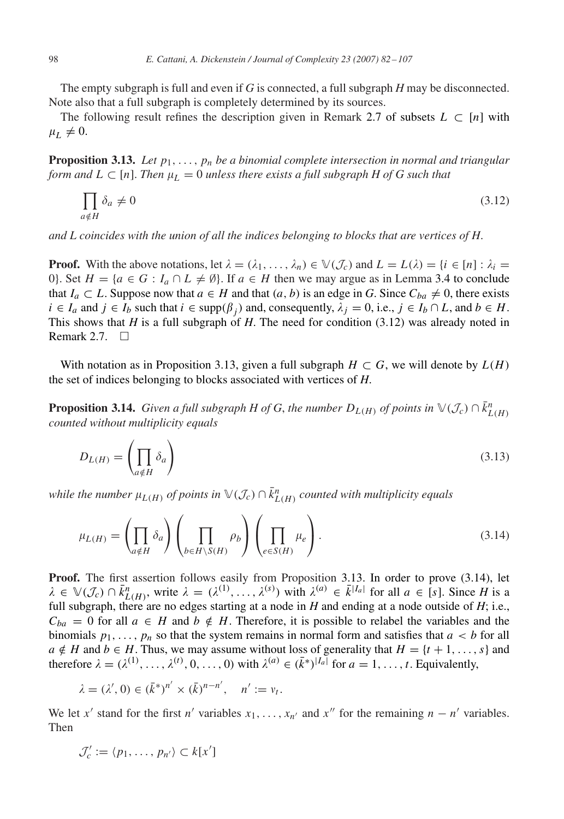<span id="page-16-0"></span>The empty subgraph is full and even if *G* is connected, a full subgraph *H* may be disconnected. Note also that a full subgraph is completely determined by its sources.

The following result refines the description given in Remark [2.7](#page-6-0) of subsets  $L \subset [n]$  with  $\mu_L \neq 0.$ 

**Proposition 3.13.** *Let*  $p_1, \ldots, p_n$  *be a binomial complete intersection in normal and triangular form and*  $L \subset [n]$ . *Then*  $\mu_L = 0$  *unless there exists a full subgraph H of G such that* 

$$
\prod_{a \notin H} \delta_a \neq 0 \tag{3.12}
$$

*and L coincides with the union of all the indices belonging to blocks that are vertices of H*.

**Proof.** With the above notations, let  $\lambda = (\lambda_1, \ldots, \lambda_n) \in \mathbb{V}(\mathcal{J}_c)$  and  $L = L(\lambda) = \{i \in [n] : \lambda_i =$ 0}. Set  $H = \{a \in G : I_a \cap L \neq \emptyset\}$ . If  $a \in H$  then we may argue as in Lemma [3.4](#page-11-0) to conclude that  $I_a \subset L$ . Suppose now that  $a \in H$  and that  $(a, b)$  is an edge in *G*. Since  $C_{ba} \neq 0$ , there exists *i* ∈ *I<sub>a</sub>* and *j* ∈ *I<sub>b</sub>* such that *i* ∈ supp $(\beta_i)$  and, consequently,  $\lambda_j = 0$ , i.e.,  $j \in I_b \cap L$ , and  $b \in H$ . This shows that *H* is a full subgraph of *H*. The need for condition (3.12) was already noted in Remark [2.7.](#page-6-0)  $\square$ 

With notation as in Proposition 3.13, given a full subgraph  $H \subset G$ , we will denote by  $L(H)$ the set of indices belonging to blocks associated with vertices of *H*.

**Proposition 3.14.** *Given a full subgraph H of G, the number*  $D_{L(H)}$  *of points in*  $\mathbb{V}(\mathcal{J}_c) \cap \overline{k}_{L(H)}^n$ *counted without multiplicity equals*

$$
D_{L(H)} = \left(\prod_{a \notin H} \delta_a\right) \tag{3.13}
$$

*while the number*  $\mu_{L(H)}$  *of points in*  $\mathbb{V}(\mathcal{J}_c) \cap \overline{k}_{L(H)}^n$  *counted with multiplicity equals* 

$$
\mu_{L(H)} = \left(\prod_{a \notin H} \delta_a\right) \left(\prod_{b \in H \backslash S(H)} \rho_b\right) \left(\prod_{e \in S(H)} \mu_e\right). \tag{3.14}
$$

**Proof.** The first assertion follows easily from Proposition 3.13. In order to prove (3.14), let  $\lambda \in \mathbb{V}(\mathcal{J}_c) \cap \bar{k}_{L(H)}^n$ , write  $\lambda = (\lambda^{(1)}, \ldots, \lambda^{(s)})$  with  $\lambda^{(a)} \in \bar{k}^{|I_a|}$  for all  $a \in [s]$ . Since *H* is a full subgraph, there are no edges starting at a node in  $H$  and ending at a node outside of  $H$ ; i.e.,  $C_{ba} = 0$  for all  $a \in H$  and  $b \notin H$ . Therefore, it is possible to relabel the variables and the binomials  $p_1, \ldots, p_n$  so that the system remains in normal form and satisfies that  $a < b$  for all *a* ∉ *H* and *b* ∈ *H*. Thus, we may assume without loss of generality that  $H = \{t + 1, \ldots, s\}$  and therefore  $\lambda = (\lambda^{(1)}, \ldots, \lambda^{(t)}, 0, \ldots, 0)$  with  $\lambda^{(a)} \in (\bar{k}^*)^{|I_a|}$  for  $a = 1, \ldots, t$ . Equivalently,

$$
\lambda = (\lambda', 0) \in (\bar{k}^*)^{n'} \times (\bar{k})^{n-n'}, \quad n' := v_t.
$$

We let x' stand for the first *n'* variables  $x_1, \ldots, x_n$  and  $x''$  for the remaining  $n - n'$  variables. Then

$$
\mathcal{J}'_c := \langle p_1, \ldots, p_{n'} \rangle \subset k[x']
$$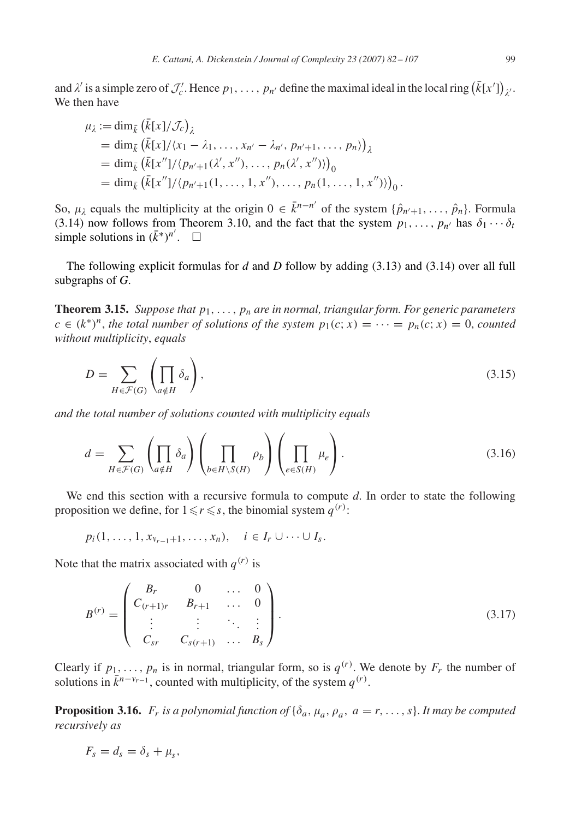<span id="page-17-0"></span>and  $\lambda'$  is a simple zero of  $\mathcal{J}'_c$ . Hence  $p_1, \ldots, p_{n'}$  define the maximal ideal in the local ring  $(\bar{k}[x'])_{\lambda'}$ . We then have

$$
\mu_{\lambda} := \dim_{\bar{k}} (\bar{k}[x]/\mathcal{J}_{c})_{\lambda} \n= \dim_{\bar{k}} (\bar{k}[x]/\langle x_{1} - \lambda_{1}, \ldots, x_{n'} - \lambda_{n'}, p_{n'+1}, \ldots, p_{n} \rangle)_{\lambda} \n= \dim_{\bar{k}} (\bar{k}[x'']/ \langle p_{n'+1}(\lambda', x''), \ldots, p_{n}(\lambda', x'') \rangle)_{0} \n= \dim_{\bar{k}} (\bar{k}[x'']/ \langle p_{n'+1}(1, \ldots, 1, x''), \ldots, p_{n}(1, \ldots, 1, x'') \rangle)_{0}.
$$

So,  $\mu_{\lambda}$  equals the multiplicity at the origin  $0 \in \bar{k}^{n-n'}$  of the system  $\{\hat{p}_{n'+1}, \ldots, \hat{p}_n\}$ . Formula [\(3.14\)](#page-16-0) now follows from Theorem [3.10,](#page-14-0) and the fact that the system  $p_1, \ldots, p_{n'}$  has  $\delta_1 \cdots \delta_t$ simple solutions in  $(\bar{k}^*)^{n'}$ . □

The following explicit formulas for *d* and *D* follow by adding [\(3.13\)](#page-16-0) and [\(3.14\)](#page-16-0) over all full subgraphs of *G*.

**Theorem 3.15.** *Suppose that*  $p_1, \ldots, p_n$  *are in normal, triangular form. For generic parameters*  $c \in (k^*)^n$ , the total number of solutions of the system  $p_1(c; x) = \cdots = p_n(c; x) = 0$ , counted *without multiplicity*, *equals*

$$
D = \sum_{H \in \mathcal{F}(G)} \left( \prod_{a \notin H} \delta_a \right),\tag{3.15}
$$

*and the total number of solutions counted with multiplicity equals*

$$
d = \sum_{H \in \mathcal{F}(G)} \left( \prod_{a \notin H} \delta_a \right) \left( \prod_{b \in H \backslash S(H)} \rho_b \right) \left( \prod_{e \in S(H)} \mu_e \right). \tag{3.16}
$$

We end this section with a recursive formula to compute *d*. In order to state the following proposition we define, for  $1 \le r \le s$ , the binomial system  $q^{(r)}$ :

 $p_i(1, \ldots, 1, x_{\nu_{r-1}+1}, \ldots, x_n), \quad i \in I_r \cup \cdots \cup I_s.$ 

Note that the matrix associated with  $q^{(r)}$  is

$$
B^{(r)} = \begin{pmatrix} B_r & 0 & \dots & 0 \\ C_{(r+1)r} & B_{r+1} & \dots & 0 \\ \vdots & \vdots & \ddots & \vdots \\ C_{sr} & C_{s(r+1)} & \dots & B_s \end{pmatrix}.
$$
 (3.17)

Clearly if  $p_1, \ldots, p_n$  is in normal, triangular form, so is  $q^{(r)}$ . We denote by  $F_r$  the number of solutions in  $\bar{k}^{n-v_{r-1}}$ , counted with multiplicity, of the system  $q^{(r)}$ .

**Proposition 3.16.**  $F_r$  *is a polynomial function of*  $\{\delta_a, \mu_a, \rho_a, a = r, \ldots, s\}$ . *It may be computed recursively as*

$$
F_s = d_s = \delta_s + \mu_s,
$$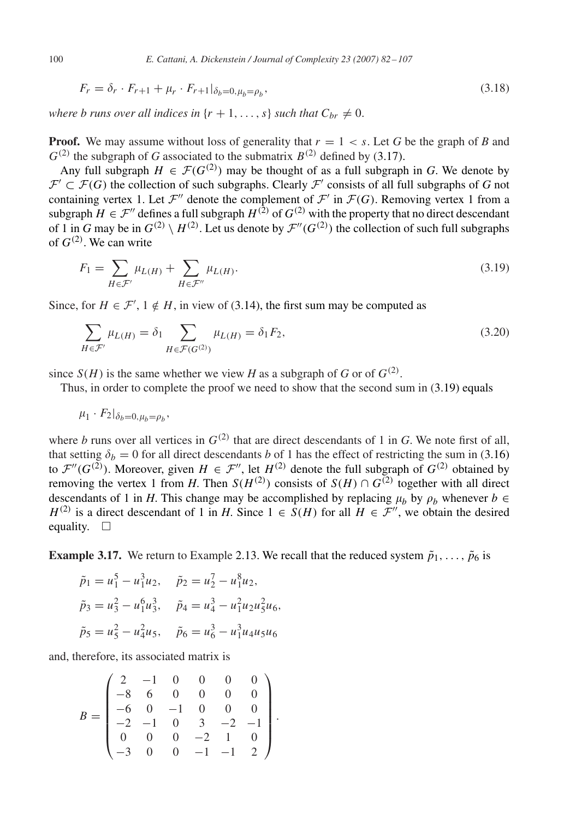$$
F_r = \delta_r \cdot F_{r+1} + \mu_r \cdot F_{r+1} |_{\delta_b = 0, \mu_b = \rho_b},
$$
\n(3.18)

*where b runs over all indices in*  $\{r + 1, \ldots, s\}$  *such that*  $C_{br} \neq 0$ .

**Proof.** We may assume without loss of generality that  $r = 1 \lt s$ . Let G be the graph of B and  $G^{(2)}$  the subgraph of *G* associated to the submatrix  $B^{(2)}$  defined by [\(3.17\)](#page-17-0).

Any full subgraph  $H \in \mathcal{F}(G^{(2)})$  may be thought of as a full subgraph in *G*. We denote by  $\mathcal{F}' \subset \mathcal{F}(G)$  the collection of such subgraphs. Clearly  $\mathcal{F}'$  consists of all full subgraphs of G not containing vertex 1. Let  $\mathcal{F}''$  denote the complement of  $\mathcal{F}'$  in  $\mathcal{F}(G)$ . Removing vertex 1 from a subgraph  $H \in \mathcal{F}''$  defines a full subgraph  $H^{(2)}$  of  $G^{(2)}$  with the property that no direct descendant of 1 in *G* may be in  $G^{(2)} \setminus H^{(2)}$ . Let us denote by  $\mathcal{F}''(G^{(2)})$  the collection of such full subgraphs of  $G^{(2)}$ . We can write

$$
F_1 = \sum_{H \in \mathcal{F}'} \mu_{L(H)} + \sum_{H \in \mathcal{F}''} \mu_{L(H)}.
$$
\n(3.19)

Since, for  $H \in \mathcal{F}'$ ,  $1 \notin H$ , in view of [\(3.14\)](#page-16-0), the first sum may be computed as

$$
\sum_{H \in \mathcal{F}'} \mu_{L(H)} = \delta_1 \sum_{H \in \mathcal{F}(G^{(2)})} \mu_{L(H)} = \delta_1 F_2,
$$
\n(3.20)

since  $S(H)$  is the same whether we view *H* as a subgraph of *G* or of  $G^{(2)}$ .

Thus, in order to complete the proof we need to show that the second sum in  $(3.19)$  equals

$$
\mu_1 \cdot F_2|_{\delta_b=0,\mu_b=\rho_b},
$$

where *b* runs over all vertices in  $G^{(2)}$  that are direct descendants of 1 in *G*. We note first of all, that setting  $\delta_b = 0$  for all direct descendants *b* of 1 has the effect of restricting the sum in [\(3.16\)](#page-17-0) to  $\mathcal{F}''(G^{(\tilde{2})})$ . Moreover, given  $H \in \mathcal{F}''$ , let  $H^{(2)}$  denote the full subgraph of  $G^{(2)}$  obtained by removing the vertex 1 from *H*. Then  $S(H^{(2)})$  consists of  $S(H) \cap G^{(2)}$  together with all direct descendants of 1 in *H*. This change may be accomplished by replacing  $\mu_b$  by  $\rho_b$  whenever  $b \in$  $H^{(2)}$  is a direct descendant of 1 in *H*. Since  $1 \in S(H)$  for all  $H \in \mathcal{F}''$ , we obtain the desired equality.  $\square$ 

**Example 3.17.** We return to Example [2.13.](#page-8-0) We recall that the reduced system  $\tilde{p}_1, \ldots, \tilde{p}_6$  is

*.*

$$
\tilde{p}_1 = u_1^5 - u_1^3 u_2, \quad \tilde{p}_2 = u_2^7 - u_1^8 u_2,
$$
  
\n
$$
\tilde{p}_3 = u_3^2 - u_1^6 u_3^3, \quad \tilde{p}_4 = u_4^3 - u_1^2 u_2 u_5^2 u_6,
$$
  
\n
$$
\tilde{p}_5 = u_5^2 - u_4^2 u_5, \quad \tilde{p}_6 = u_6^3 - u_1^3 u_4 u_5 u_6
$$

and, therefore, its associated matrix is

$$
B = \begin{pmatrix} 2 & -1 & 0 & 0 & 0 & 0 \\ -8 & 6 & 0 & 0 & 0 & 0 \\ -6 & 0 & -1 & 0 & 0 & 0 \\ -2 & -1 & 0 & 3 & -2 & -1 \\ 0 & 0 & 0 & -2 & 1 & 0 \\ -3 & 0 & 0 & -1 & -1 & 2 \end{pmatrix}
$$

<span id="page-18-0"></span>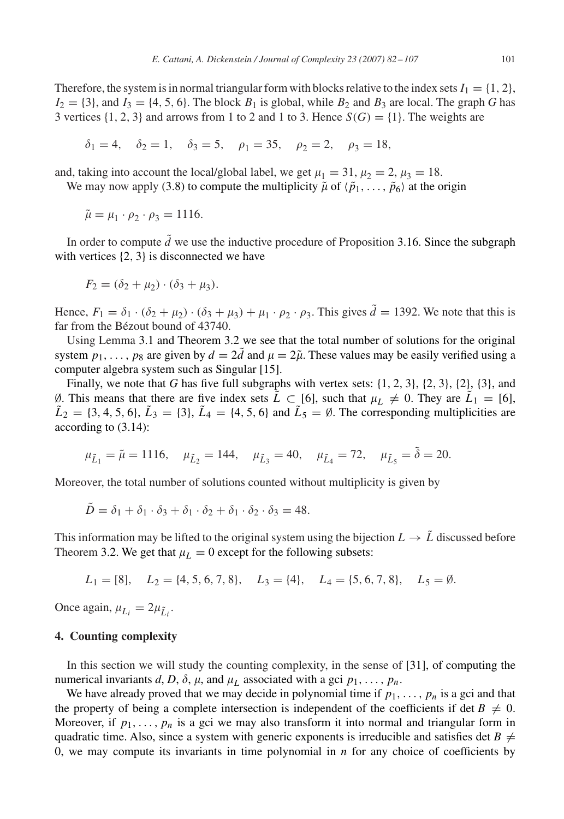<span id="page-19-0"></span>Therefore, the system is in normal triangular form with blocks relative to the index sets  $I_1 = \{1, 2\}$ ,  $I_2 = \{3\}$ , and  $I_3 = \{4, 5, 6\}$ . The block  $B_1$  is global, while  $B_2$  and  $B_3$  are local. The graph *G* has 3 vertices  $\{1, 2, 3\}$  and arrows from 1 to 2 and 1 to 3. Hence  $S(G) = \{1\}$ . The weights are

$$
\delta_1 = 4
$$
,  $\delta_2 = 1$ ,  $\delta_3 = 5$ ,  $\rho_1 = 35$ ,  $\rho_2 = 2$ ,  $\rho_3 = 18$ ,

and, taking into account the local/global label, we get  $\mu_1 = 31$ ,  $\mu_2 = 2$ ,  $\mu_3 = 18$ .

We may now apply [\(3.8\)](#page-14-0) to compute the multiplicity  $\tilde{\mu}$  of  $\langle \tilde{p}_1, \ldots, \tilde{p}_6 \rangle$  at the origin

$$
\tilde{\mu} = \mu_1 \cdot \rho_2 \cdot \rho_3 = 1116.
$$

In order to compute  $\tilde{d}$  we use the inductive procedure of Proposition [3.16.](#page-17-0) Since the subgraph with vertices  $\{2, 3\}$  is disconnected we have

$$
F_2 = (\delta_2 + \mu_2) \cdot (\delta_3 + \mu_3).
$$

Hence,  $F_1 = \delta_1 \cdot (\delta_2 + \mu_2) \cdot (\delta_3 + \mu_3) + \mu_1 \cdot \rho_2 \cdot \rho_3$ . This gives  $\tilde{d} = 1392$ . We note that this is far from the Bézout bound of 43740.

Using Lemma [3.1](#page-9-0) and Theorem [3.2](#page-10-0) we see that the total number of solutions for the original system  $p_1, \ldots, p_8$  are given by  $d = 2\tilde{d}$  and  $\mu = 2\tilde{\mu}$ . These values may be easily verified using a computer algebra system such as Singular [\[15\].](#page-24-0)

Finally, we note that *G* has five full subgraphs with vertex sets: {1*,* 2*,* 3}, {2*,* 3}, {2}, {3}, and Ø. This means that there are five index sets  $\tilde{L} \subset [6]$ , such that  $\mu_L \neq 0$ . They are  $\tilde{L}_1 = [6]$ ,  $\tilde{L}_2 = \{3, 4, 5, 6\}, \tilde{L}_3 = \{3\}, \tilde{L}_4 = \{4, 5, 6\}$  and  $\tilde{L}_5 = \emptyset$ . The corresponding multiplicities are according to [\(3.14\)](#page-16-0):

$$
\mu_{\tilde{L}_1} = \tilde{\mu} = 1116, \quad \mu_{\tilde{L}_2} = 144, \quad \mu_{\tilde{L}_3} = 40, \quad \mu_{\tilde{L}_4} = 72, \quad \mu_{\tilde{L}_5} = \tilde{\delta} = 20.
$$

Moreover, the total number of solutions counted without multiplicity is given by

 $\tilde{D} = \delta_1 + \delta_1 \cdot \delta_3 + \delta_1 \cdot \delta_2 + \delta_1 \cdot \delta_3 \cdot \delta_3 = 48.$ 

This information may be lifted to the original system using the bijection  $L \rightarrow \tilde{L}$  discussed before Theorem [3.2.](#page-10-0) We get that  $\mu_L = 0$  except for the following subsets:

 $L_1 = [8]$ ,  $L_2 = \{4, 5, 6, 7, 8\}$ ,  $L_3 = \{4\}$ ,  $L_4 = \{5, 6, 7, 8\}$ ,  $L_5 = \emptyset$ .

Once again,  $\mu_{L_i} = 2\mu_{\tilde{L}_i}$ .

# **4. Counting complexity**

In this section we will study the counting complexity, in the sense of [\[31\],](#page-25-0) of computing the numerical invariants *d*, *D*,  $\delta$ ,  $\mu$ , and  $\mu$ <sub>L</sub> associated with a gci  $p_1, \ldots, p_n$ .

We have already proved that we may decide in polynomial time if  $p_1, \ldots, p_n$  is a gci and that the property of being a complete intersection is independent of the coefficients if det  $B \neq 0$ . Moreover, if  $p_1, \ldots, p_n$  is a gci we may also transform it into normal and triangular form in quadratic time. Also, since a system with generic exponents is irreducible and satisfies det  $B \neq$ 0, we may compute its invariants in time polynomial in *n* for any choice of coefficients by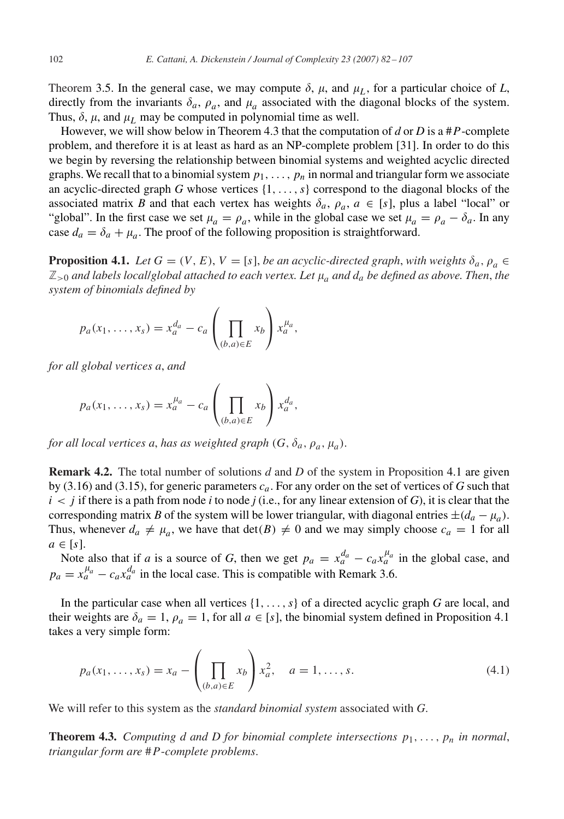<span id="page-20-0"></span>Theorem [3.5.](#page-12-0) In the general case, we may compute  $\delta$ ,  $\mu$ , and  $\mu$ <sub>L</sub>, for a particular choice of *L*, directly from the invariants  $\delta_a$ ,  $\rho_a$ , and  $\mu_a$  associated with the diagonal blocks of the system. Thus,  $\delta$ ,  $\mu$ , and  $\mu$ <sub>L</sub> may be computed in polynomial time as well.

However, we will show below in Theorem 4.3 that the computation of *d* or *D* is a #*P*-complete problem, and therefore it is at least as hard as an NP-complete problem [\[31\].](#page-25-0) In order to do this we begin by reversing the relationship between binomial systems and weighted acyclic directed graphs. We recall that to a binomial system  $p_1, \ldots, p_n$  in normal and triangular form we associate an acyclic-directed graph *G* whose vertices {1*,...,s*} correspond to the diagonal blocks of the associated matrix *B* and that each vertex has weights  $\delta_a$ ,  $\rho_a$ ,  $a \in [s]$ , plus a label "local" or "global". In the first case we set  $\mu_a = \rho_a$ , while in the global case we set  $\mu_a = \rho_a - \delta_a$ . In any case  $d_a = \delta_a + \mu_a$ . The proof of the following proposition is straightforward.

**Proposition 4.1.** *Let*  $G = (V, E), V = [s]$ , *be an acyclic-directed graph*, *with weights*  $\delta_a$ ,  $\rho_a \in$  $\mathbb{Z}_{>0}$  and labels local/global attached to each vertex. Let  $\mu_a$  and  $d_a$  be defined as above. Then, the *system of binomials defined by*

$$
p_a(x_1,\ldots,x_s)=x_a^{d_a}-c_a\left(\prod_{(b,a)\in E}x_b\right)x_a^{\mu_a},
$$

*for all global vertices a*, *and*

$$
p_a(x_1,\ldots,x_s)=x_a^{\mu_a}-c_a\left(\prod_{(b,a)\in E}x_b\right)x_a^{d_a},
$$

*for all local vertices a, has as weighted graph*  $(G, \delta_a, \rho_a, \mu_a)$ .

**Remark 4.2.** The total number of solutions *d* and *D* of the system in Proposition 4.1 are given by [\(3.16\)](#page-17-0) and [\(3.15\)](#page-17-0), for generic parameters *ca*. For any order on the set of vertices of *G* such that  $i < j$  if there is a path from node *i* to node *j* (i.e., for any linear extension of *G*), it is clear that the corresponding matrix *B* of the system will be lower triangular, with diagonal entries  $\pm (d_a - \mu_a)$ . Thus, whenever  $d_a \neq \mu_a$ , we have that  $\det(B) \neq 0$  and we may simply choose  $c_a = 1$  for all  $a \in [s]$ .

Note also that if *a* is a source of *G*, then we get  $p_a = x_a^{d_a} - c_a x_a^{\mu_a}$  in the global case, and  $p_a = x_a^{\mu_a} - c_a x_a^{d_a}$  in the local case. This is compatible with Remark [3.6.](#page-13-0)

In the particular case when all vertices {1*,...,s*} of a directed acyclic graph *G* are local, and their weights are  $\delta_a = 1$ ,  $\rho_a = 1$ , for all  $a \in [s]$ , the binomial system defined in Proposition 4.1 takes a very simple form:

$$
p_a(x_1, ..., x_s) = x_a - \left(\prod_{(b,a)\in E} x_b\right) x_a^2, \quad a = 1, ..., s.
$$
 (4.1)

We will refer to this system as the *standard binomial system* associated with *G*.

**Theorem 4.3.** *Computing d and D for binomial complete intersections*  $p_1, \ldots, p_n$  *in normal*, *triangular form are* #*P*-*complete problems*.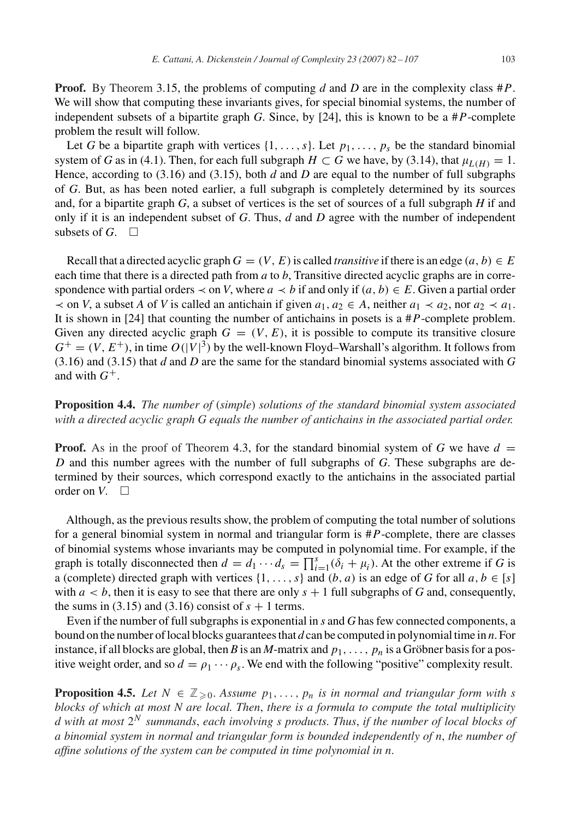<span id="page-21-0"></span>**Proof.** By Theorem [3.15,](#page-17-0) the problems of computing *d* and *D* are in the complexity class #*P*. We will show that computing these invariants gives, for special binomial systems, the number of independent subsets of a bipartite graph *G*. Since, by [\[24\],](#page-24-0) this is known to be a #*P*-complete problem the result will follow.

Let *G* be a bipartite graph with vertices  $\{1, \ldots, s\}$ . Let  $p_1, \ldots, p_s$  be the standard binomial system of *G* as in [\(4.1\)](#page-20-0). Then, for each full subgraph  $H \subset G$  we have, by [\(3.14\)](#page-16-0), that  $\mu_{L(H)} = 1$ . Hence, according to [\(3.16\)](#page-17-0) and [\(3.15\)](#page-17-0), both *d* and *D* are equal to the number of full subgraphs of *G*. But, as has been noted earlier, a full subgraph is completely determined by its sources and, for a bipartite graph *G*, a subset of vertices is the set of sources of a full subgraph *H* if and only if it is an independent subset of *G*. Thus, *d* and *D* agree with the number of independent subsets of  $G$ .  $\Box$ 

Recall that a directed acyclic graph  $G = (V, E)$  is called *transitive* if there is an edge  $(a, b) \in E$ each time that there is a directed path from *a* to *b*, Transitive directed acyclic graphs are in correspondence with partial orders  $\prec$  on *V*, where  $a \prec b$  if and only if  $(a, b) \in E$ . Given a partial order  $\prec$  on *V*, a subset *A* of *V* is called an antichain if given  $a_1, a_2 \in A$ , neither  $a_1 \prec a_2$ , nor  $a_2 \prec a_1$ . It is shown in [\[24\]](#page-24-0) that counting the number of antichains in posets is a #*P*-complete problem. Given any directed acyclic graph  $G = (V, E)$ , it is possible to compute its transitive closure  $G^+ = (V, E^+)$ , in time  $O(|V|^3)$  by the well-known Floyd–Warshall's algorithm. It follows from [\(3.16\)](#page-17-0) and [\(3.15\)](#page-17-0) that *d* and *D* are the same for the standard binomial systems associated with *G* and with  $G^+$ .

**Proposition 4.4.** *The number of* (*simple*) *solutions of the standard binomial system associated with a directed acyclic graph G equals the number of antichains in the associated partial order.*

**Proof.** As in the proof of Theorem [4.3,](#page-20-0) for the standard binomial system of G we have  $d =$ *D* and this number agrees with the number of full subgraphs of *G*. These subgraphs are determined by their sources, which correspond exactly to the antichains in the associated partial order on  $V$ .  $\Box$ 

Although, as the previous results show, the problem of computing the total number of solutions for a general binomial system in normal and triangular form is #*P*-complete, there are classes of binomial systems whose invariants may be computed in polynomial time. For example, if the graph is totally disconnected then  $d = d_1 \cdots d_s = \prod_{i=1}^s (\delta_i + \mu_i)$ . At the other extreme if *G* is a (complete) directed graph with vertices  $\{1, \ldots, s\}$  and  $(b, a)$  is an edge of *G* for all  $a, b \in [s]$ with  $a < b$ , then it is easy to see that there are only  $s + 1$  full subgraphs of *G* and, consequently, the sums in  $(3.15)$  and  $(3.16)$  consist of  $s + 1$  terms.

Even if the number of full subgraphs is exponential in *s* and *G* has few connected components, a bound on the number of local blocks guarantees that *d* can be computed in polynomial time in *n*. For instance, if all blocks are global, then *B* is an *M*-matrix and  $p_1, \ldots, p_n$  is a Gröbner basis for a positive weight order, and so  $d = \rho_1 \cdots \rho_s$ . We end with the following "positive" complexity result.

**Proposition 4.5.** *Let*  $N \in \mathbb{Z}_{\geq 0}$ . *Assume*  $p_1, \ldots, p_n$  *is in normal and triangular form with s blocks of which at most N are local. Then*, *there is a formula to compute the total multiplicity d with at most* 2*<sup>N</sup> summands*, *each involving s products. Thus*, *if the number of local blocks of a binomial system in normal and triangular form is bounded independently of n*, *the number of affine solutions of the system can be computed in time polynomial in n*.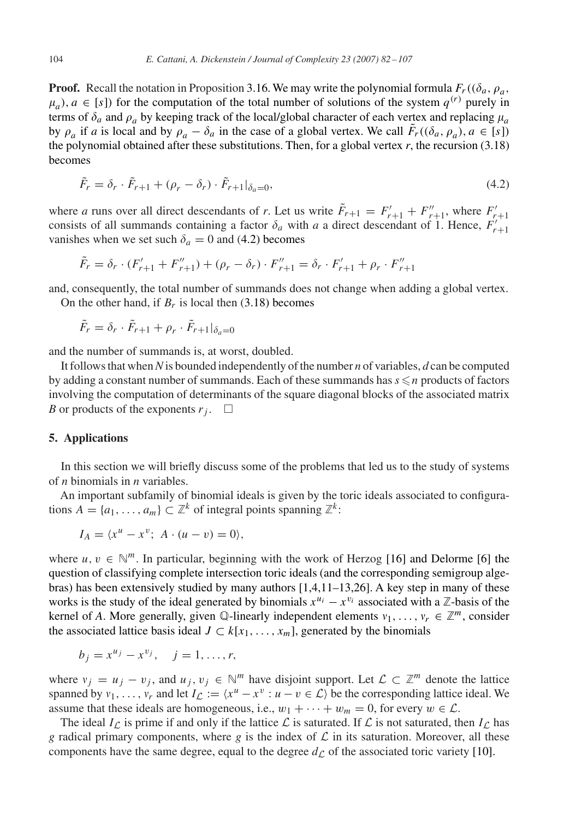**Proof.** Recall the notation in Proposition [3.16.](#page-17-0) We may write the polynomial formula  $F_r((\delta_a, \rho_a,$  $\mu_a$ ,  $a \in [s]$  for the computation of the total number of solutions of the system  $q^{(r)}$  purely in terms of  $\delta_a$  and  $\rho_a$  by keeping track of the local/global character of each vertex and replacing  $\mu_a$ by  $\rho_a$  if *a* is local and by  $\rho_a - \delta_a$  in the case of a global vertex. We call  $\tilde{F}_r((\delta_a, \rho_a), a \in [s])$ the polynomial obtained after these substitutions. Then, for a global vertex  $r$ , the recursion  $(3.18)$ becomes

$$
\tilde{F}_r = \delta_r \cdot \tilde{F}_{r+1} + (\rho_r - \delta_r) \cdot \tilde{F}_{r+1} \vert_{\delta_a = 0},\tag{4.2}
$$

where *a* runs over all direct descendants of *r*. Let us write  $\tilde{F}_{r+1} = F'_{r+1} + F''_{r+1}$ , where  $F'_{r+1}$ consists of all summands containing a factor  $\delta_a$  with *a* a direct descendant of 1. Hence,  $F'_{r+1}$ vanishes when we set such  $\delta_a = 0$  and (4.2) becomes

$$
\tilde{F}_r = \delta_r \cdot (F'_{r+1} + F''_{r+1}) + (\rho_r - \delta_r) \cdot F''_{r+1} = \delta_r \cdot F'_{r+1} + \rho_r \cdot F''_{r+1}
$$

and, consequently, the total number of summands does not change when adding a global vertex. On the other hand, if  $B_r$  is local then  $(3.18)$  becomes

$$
\tilde{F}_r = \delta_r \cdot \tilde{F}_{r+1} + \rho_r \cdot \tilde{F}_{r+1} |_{\delta_a=0}
$$

and the number of summands is, at worst, doubled.

It follows that when*N*is bounded independently of the number *n* of variables, *d* can be computed by adding a constant number of summands. Each of these summands has  $s \leq n$  products of factors involving the computation of determinants of the square diagonal blocks of the associated matrix *B* or products of the exponents  $r_i$ .  $\Box$ 

# **5. Applications**

In this section we will briefly discuss some of the problems that led us to the study of systems of *n* binomials in *n* variables.

An important subfamily of binomial ideals is given by the toric ideals associated to configurations  $A = \{a_1, \ldots, a_m\} \subset \mathbb{Z}^k$  of integral points spanning  $\mathbb{Z}^k$ :

$$
I_A = \langle x^u - x^v; \ A \cdot (u - v) = 0 \rangle,
$$

where  $u, v \in \mathbb{N}^m$ . In particular, beginning with the work of Herzog [\[16\]](#page-24-0) and Delorme [\[6\]](#page-24-0) the question of classifying complete intersection toric ideals (and the corresponding semigroup algebras) has been extensively studied by many authors [\[1,4,11–13,](#page-24-0)[26\].](#page-25-0) A key step in many of these works is the study of the ideal generated by binomials  $x^{u_i} - x^{v_i}$  associated with a  $\mathbb{Z}$ -basis of the kernel of *A*. More generally, given  $\mathbb{Q}$ -linearly independent elements  $v_1, \ldots, v_r \in \mathbb{Z}^m$ , consider the associated lattice basis ideal  $J \subset k[x_1, \ldots, x_m]$ , generated by the binomials

$$
b_j = x^{u_j} - x^{v_j}, \quad j = 1, ..., r,
$$

where  $v_j = u_j - v_j$ , and  $u_j, v_j \in \mathbb{N}^m$  have disjoint support. Let  $\mathcal{L} \subset \mathbb{Z}^m$  denote the lattice spanned by  $v_1, \ldots, v_r$  and let  $I_{\mathcal{L}} := \langle x^u - x^v : u - v \in \mathcal{L} \rangle$  be the corresponding lattice ideal. We assume that these ideals are homogeneous, i.e.,  $w_1 + \cdots + w_m = 0$ , for every  $w \in \mathcal{L}$ .

The ideal  $I_{\mathcal{L}}$  is prime if and only if the lattice  $\mathcal{L}$  is saturated. If  $\mathcal{L}$  is not saturated, then  $I_{\mathcal{L}}$  has *g* radical primary components, where *g* is the index of  $\mathcal L$  in its saturation. Moreover, all these components have the same degree, equal to the degree  $d<sub>C</sub>$  of the associated toric variety [\[10\].](#page-24-0)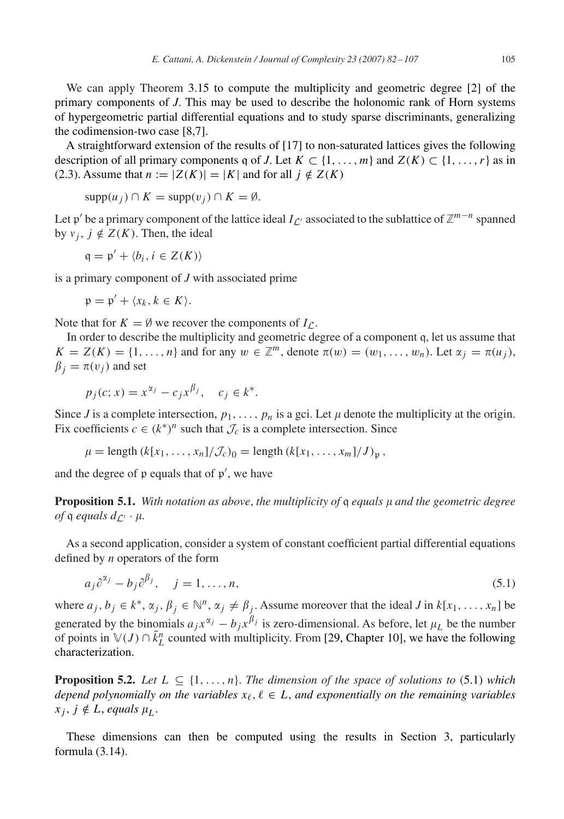We can apply Theorem [3.15](#page-17-0) to compute the multiplicity and geometric degree [\[2\]](#page-24-0) of the primary components of *J*. This may be used to describe the holonomic rank of Horn systems of hypergeometric partial differential equations and to study sparse discriminants, generalizing the codimension-two case [\[8,7\].](#page-24-0)

A straightforward extension of the results of [\[17\]](#page-24-0) to non-saturated lattices gives the following description of all primary components q of *J*. Let  $K \subset \{1, \ldots, m\}$  and  $Z(K) \subset \{1, \ldots, r\}$  as in [\(2.3\)](#page-4-0). Assume that  $n := |Z(K)| = |K|$  and for all  $j \notin Z(K)$ 

$$
supp(u_j) \cap K = supp(v_j) \cap K = \emptyset.
$$

Let p' be a primary component of the lattice ideal  $I_{\mathcal{L}'}$  associated to the sublattice of  $\mathbb{Z}^{m-n}$  spanned by  $v_j$ ,  $j \notin Z(K)$ . Then, the ideal

 $q = p' + \langle b_i, i \in Z(K) \rangle$ 

is a primary component of *J* with associated prime

 $\mathfrak{p} = \mathfrak{p}' + \langle x_k, k \in K \rangle$ .

Note that for  $K = \emptyset$  we recover the components of  $I_{\mathcal{L}}$ .

In order to describe the multiplicity and geometric degree of a component q, let us assume that  $K = Z(K) = \{1, \ldots, n\}$  and for any  $w \in \mathbb{Z}^m$ , denote  $\pi(w) = (w_1, \ldots, w_n)$ . Let  $\alpha_j = \pi(u_j)$ ,  $\beta_i = \pi(v_j)$  and set

$$
p_i(c; x) = x^{\alpha_j} - c_i x^{\beta_j}, \quad c_i \in k^*.
$$

Since *J* is a complete intersection,  $p_1, \ldots, p_n$  is a gci. Let  $\mu$  denote the multiplicity at the origin. Fix coefficients  $c \in (k^*)^n$  such that  $\mathcal{J}_c$  is a complete intersection. Since

 $\mu = \text{length } (k[x_1, \ldots, x_n]/\mathcal{J}_c)_0 = \text{length } (k[x_1, \ldots, x_m]/J)_p$ 

and the degree of  $\mathfrak p$  equals that of  $\mathfrak p'$ , we have

**Proposition 5.1.** With notation as above, the multiplicity of q equals  $\mu$  and the geometric degree *of*  $q$  *equals*  $d_{\mathcal{L}'} \cdot \mu$ .

As a second application, consider a system of constant coefficient partial differential equations defined by *n* operators of the form

$$
a_j \partial^{\alpha_j} - b_j \partial^{\beta_j}, \quad j = 1, \dots, n,
$$
\n
$$
(5.1)
$$

where  $a_j, b_j \in k^*, \alpha_j, \beta_j \in \mathbb{N}^n, \alpha_j \neq \beta_j$ . Assume moreover that the ideal *J* in  $k[x_1, \ldots, x_n]$  be generated by the binomials  $a_j x^{\alpha_j} - b_j x^{\beta_j}$  is zero-dimensional. As before, let  $\mu_L$  be the number of points in  $\mathbb{V}(J) \cap \bar{k}_L^n$  counted with multiplicity. From [\[29, Chapter 10\],](#page-25-0) we have the following characterization.

**Proposition 5.2.** *Let*  $L \subseteq \{1, \ldots, n\}$ . *The dimension of the space of solutions to* (5.1) *which*  $\alpha$  *depend polynomially on the variables*  $x_{\ell}, \ell \in L$ , and exponentially on the remaining variables  $x_j, j \notin L$ , *equals*  $\mu_L$ .

These dimensions can then be computed using the results in Section [3,](#page-9-0) particularly formula [\(3.14\)](#page-16-0).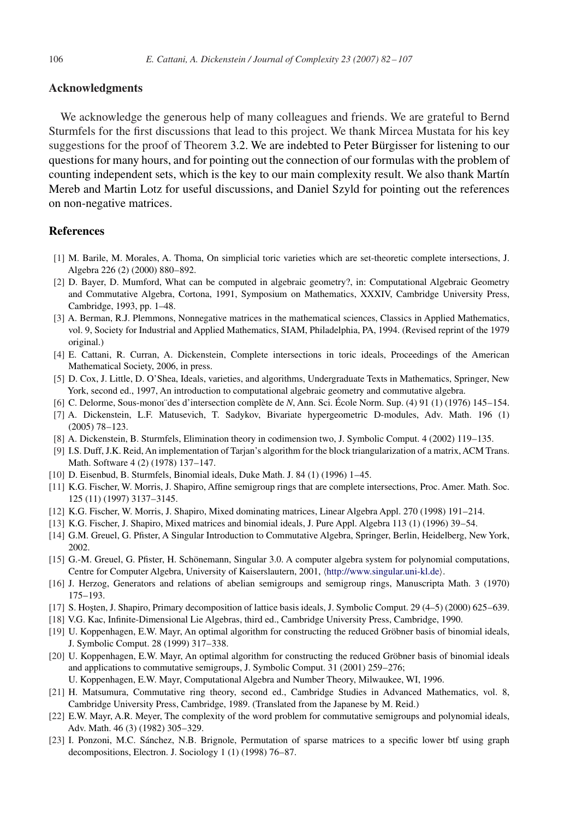# <span id="page-24-0"></span>**Acknowledgments**

We acknowledge the generous help of many colleagues and friends. We are grateful to Bernd Sturmfels for the first discussions that lead to this project. We thank Mircea Mustata for his key suggestions for the proof of Theorem [3.2.](#page-10-0) We are indebted to Peter Bürgisser for listening to our questions for many hours, and for pointing out the connection of our formulas with the problem of counting independent sets, which is the key to our main complexity result. We also thank Martín Mereb and Martin Lotz for useful discussions, and Daniel Szyld for pointing out the references on non-negative matrices.

# **References**

- [1] M. Barile, M. Morales, A. Thoma, On simplicial toric varieties which are set-theoretic complete intersections, J. Algebra 226 (2) (2000) 880–892.
- [2] D. Bayer, D. Mumford, What can be computed in algebraic geometry?, in: Computational Algebraic Geometry and Commutative Algebra, Cortona, 1991, Symposium on Mathematics, XXXIV, Cambridge University Press, Cambridge, 1993, pp. 1–48.
- [3] A. Berman, R.J. Plemmons, Nonnegative matrices in the mathematical sciences, Classics in Applied Mathematics, vol. 9, Society for Industrial and Applied Mathematics, SIAM, Philadelphia, PA, 1994. (Revised reprint of the 1979 original.)
- [4] E. Cattani, R. Curran, A. Dickenstein, Complete intersections in toric ideals, Proceedings of the American Mathematical Society, 2006, in press.
- [5] D. Cox, J. Little, D. O'Shea, Ideals, varieties, and algorithms, Undergraduate Texts in Mathematics, Springer, New York, second ed., 1997, An introduction to computational algebraic geometry and commutative algebra.
- [6] C. Delorme, Sous-monoı¨des d'intersection complète de *N*, Ann. Sci. École Norm. Sup. (4) 91 (1) (1976) 145–154.
- [7] A. Dickenstein, L.F. Matusevich, T. Sadykov, Bivariate hypergeometric D-modules, Adv. Math. 196 (1) (2005) 78–123.
- [8] A. Dickenstein, B. Sturmfels, Elimination theory in codimension two, J. Symbolic Comput. 4 (2002) 119–135.
- [9] I.S. Duff, J.K. Reid, An implementation of Tarjan's algorithm for the block triangularization of a matrix, ACM Trans. Math. Software 4 (2) (1978) 137–147.
- [10] D. Eisenbud, B. Sturmfels, Binomial ideals, Duke Math. J. 84 (1) (1996) 1–45.
- [11] K.G. Fischer, W. Morris, J. Shapiro, Affine semigroup rings that are complete intersections, Proc. Amer. Math. Soc. 125 (11) (1997) 3137–3145.
- [12] K.G. Fischer, W. Morris, J. Shapiro, Mixed dominating matrices, Linear Algebra Appl. 270 (1998) 191–214.
- [13] K.G. Fischer, J. Shapiro, Mixed matrices and binomial ideals, J. Pure Appl. Algebra 113 (1) (1996) 39–54.
- [14] G.M. Greuel, G. Pfister, A Singular Introduction to Commutative Algebra, Springer, Berlin, Heidelberg, New York, 2002.
- [15] G.-M. Greuel, G. Pfister, H. Schönemann, Singular 3.0. A computer algebra system for polynomial computations, Centre for Computer Algebra, University of Kaiserslautern, 2001, <http://www.singular.uni-kl.de> .
- [16] J. Herzog, Generators and relations of abelian semigroups and semigroup rings, Manuscripta Math. 3 (1970) 175–193.
- [17] S. Hosten, J. Shapiro, Primary decomposition of lattice basis ideals, J. Symbolic Comput. 29 (4–5) (2000) 625–639.
- [18] V.G. Kac, Infinite-Dimensional Lie Algebras, third ed., Cambridge University Press, Cambridge, 1990.
- [19] U. Koppenhagen, E.W. Mayr, An optimal algorithm for constructing the reduced Gröbner basis of binomial ideals, J. Symbolic Comput. 28 (1999) 317–338.
- [20] U. Koppenhagen, E.W. Mayr, An optimal algorithm for constructing the reduced Gröbner basis of binomial ideals and applications to commutative semigroups, J. Symbolic Comput. 31 (2001) 259–276;
- U. Koppenhagen, E.W. Mayr, Computational Algebra and Number Theory, Milwaukee, WI, 1996.
- [21] H. Matsumura, Commutative ring theory, second ed., Cambridge Studies in Advanced Mathematics, vol. 8, Cambridge University Press, Cambridge, 1989. (Translated from the Japanese by M. Reid.)
- [22] E.W. Mayr, A.R. Meyer, The complexity of the word problem for commutative semigroups and polynomial ideals, Adv. Math. 46 (3) (1982) 305–329.
- [23] I. Ponzoni, M.C. Sánchez, N.B. Brignole, Permutation of sparse matrices to a specific lower btf using graph decompositions, Electron. J. Sociology 1 (1) (1998) 76–87.